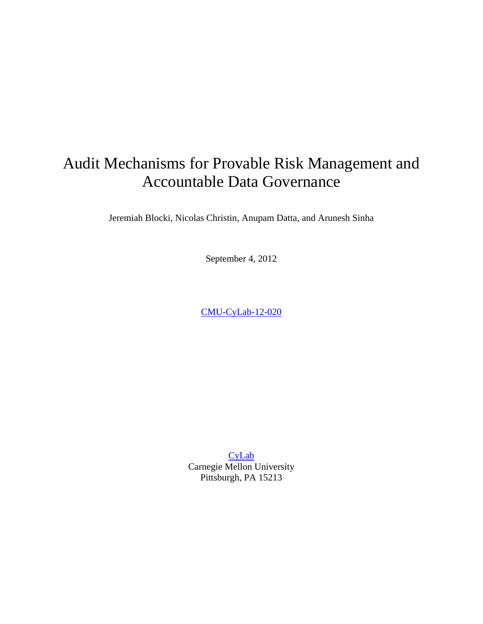# Audit Mechanisms for Provable Risk Management and Accountable Data Governance

Jeremiah Blocki, Nicolas Christin, Anupam Datta, and Arunesh Sinha

September 4, 2012

[CMU-CyLab-12-020](http://www.cylab.cmu.edu/research/techreports/2012/tr_cylab12020.html)

[CyLab](http://www.cylab.cmu.edu/) Carnegie Mellon University Pittsburgh, PA 15213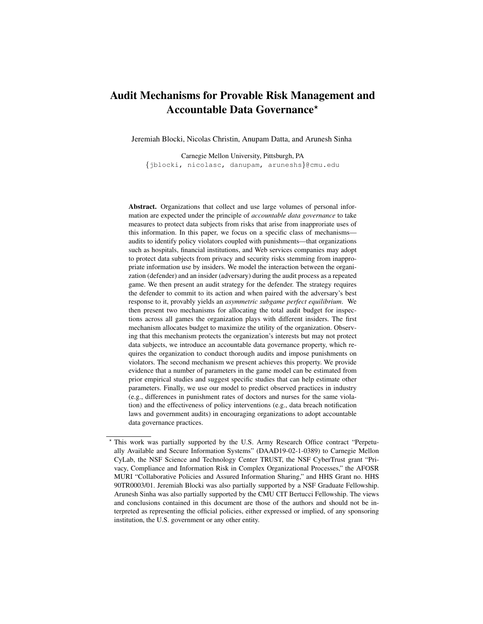# Audit Mechanisms for Provable Risk Management and Accountable Data Governance?

Jeremiah Blocki, Nicolas Christin, Anupam Datta, and Arunesh Sinha

Carnegie Mellon University, Pittsburgh, PA {jblocki, nicolasc, danupam, aruneshs}@cmu.edu

Abstract. Organizations that collect and use large volumes of personal information are expected under the principle of *accountable data governance* to take measures to protect data subjects from risks that arise from inapproriate uses of this information. In this paper, we focus on a specific class of mechanisms audits to identify policy violators coupled with punishments—that organizations such as hospitals, financial institutions, and Web services companies may adopt to protect data subjects from privacy and security risks stemming from inappropriate information use by insiders. We model the interaction between the organization (defender) and an insider (adversary) during the audit process as a repeated game. We then present an audit strategy for the defender. The strategy requires the defender to commit to its action and when paired with the adversary's best response to it, provably yields an *asymmetric subgame perfect equilibrium*. We then present two mechanisms for allocating the total audit budget for inspections across all games the organization plays with different insiders. The first mechanism allocates budget to maximize the utility of the organization. Observing that this mechanism protects the organization's interests but may not protect data subjects, we introduce an accountable data governance property, which requires the organization to conduct thorough audits and impose punishments on violators. The second mechanism we present achieves this property. We provide evidence that a number of parameters in the game model can be estimated from prior empirical studies and suggest specific studies that can help estimate other parameters. Finally, we use our model to predict observed practices in industry (e.g., differences in punishment rates of doctors and nurses for the same violation) and the effectiveness of policy interventions (e.g., data breach notification laws and government audits) in encouraging organizations to adopt accountable data governance practices.

This work was partially supported by the U.S. Army Research Office contract "Perpetually Available and Secure Information Systems" (DAAD19-02-1-0389) to Carnegie Mellon CyLab, the NSF Science and Technology Center TRUST, the NSF CyberTrust grant "Privacy, Compliance and Information Risk in Complex Organizational Processes," the AFOSR MURI "Collaborative Policies and Assured Information Sharing," and HHS Grant no. HHS 90TR0003/01. Jeremiah Blocki was also partially supported by a NSF Graduate Fellowship. Arunesh Sinha was also partially supported by the CMU CIT Bertucci Fellowship. The views and conclusions contained in this document are those of the authors and should not be interpreted as representing the official policies, either expressed or implied, of any sponsoring institution, the U.S. government or any other entity.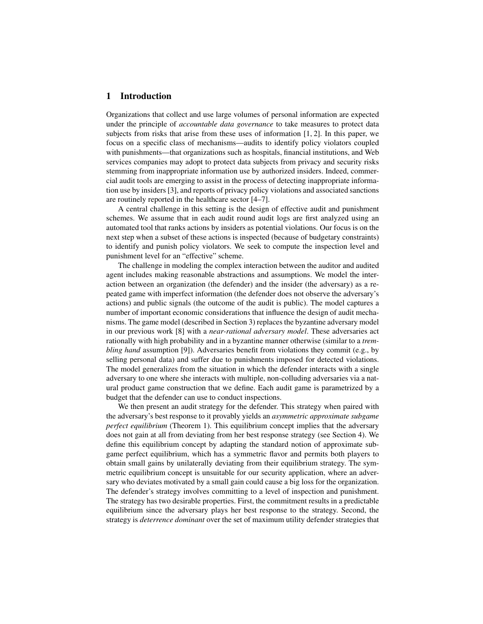## 1 Introduction

Organizations that collect and use large volumes of personal information are expected under the principle of *accountable data governance* to take measures to protect data subjects from risks that arise from these uses of information [1, 2]. In this paper, we focus on a specific class of mechanisms—audits to identify policy violators coupled with punishments—that organizations such as hospitals, financial institutions, and Web services companies may adopt to protect data subjects from privacy and security risks stemming from inappropriate information use by authorized insiders. Indeed, commercial audit tools are emerging to assist in the process of detecting inappropriate information use by insiders [3], and reports of privacy policy violations and associated sanctions are routinely reported in the healthcare sector [4–7].

A central challenge in this setting is the design of effective audit and punishment schemes. We assume that in each audit round audit logs are first analyzed using an automated tool that ranks actions by insiders as potential violations. Our focus is on the next step when a subset of these actions is inspected (because of budgetary constraints) to identify and punish policy violators. We seek to compute the inspection level and punishment level for an "effective" scheme.

The challenge in modeling the complex interaction between the auditor and audited agent includes making reasonable abstractions and assumptions. We model the interaction between an organization (the defender) and the insider (the adversary) as a repeated game with imperfect information (the defender does not observe the adversary's actions) and public signals (the outcome of the audit is public). The model captures a number of important economic considerations that influence the design of audit mechanisms. The game model (described in Section 3) replaces the byzantine adversary model in our previous work [8] with a *near-rational adversary model*. These adversaries act rationally with high probability and in a byzantine manner otherwise (similar to a *trembling hand* assumption [9]). Adversaries benefit from violations they commit (e.g., by selling personal data) and suffer due to punishments imposed for detected violations. The model generalizes from the situation in which the defender interacts with a single adversary to one where she interacts with multiple, non-colluding adversaries via a natural product game construction that we define. Each audit game is parametrized by a budget that the defender can use to conduct inspections.

We then present an audit strategy for the defender. This strategy when paired with the adversary's best response to it provably yields an *asymmetric approximate subgame perfect equilibrium* (Theorem 1). This equilibrium concept implies that the adversary does not gain at all from deviating from her best response strategy (see Section 4). We define this equilibrium concept by adapting the standard notion of approximate subgame perfect equilibrium, which has a symmetric flavor and permits both players to obtain small gains by unilaterally deviating from their equilibrium strategy. The symmetric equilibrium concept is unsuitable for our security application, where an adversary who deviates motivated by a small gain could cause a big loss for the organization. The defender's strategy involves committing to a level of inspection and punishment. The strategy has two desirable properties. First, the commitment results in a predictable equilibrium since the adversary plays her best response to the strategy. Second, the strategy is *deterrence dominant* over the set of maximum utility defender strategies that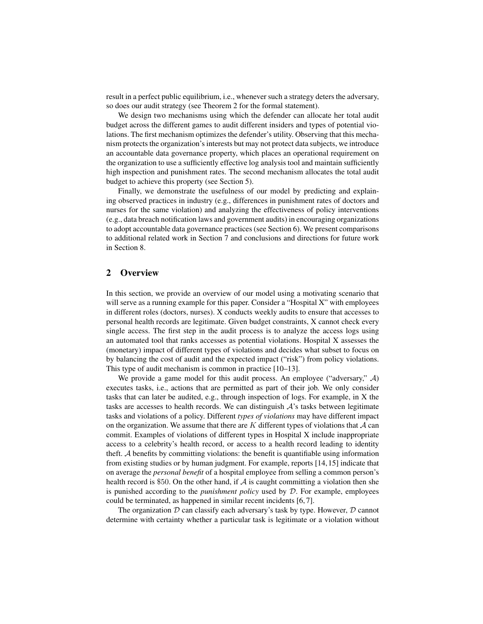result in a perfect public equilibrium, i.e., whenever such a strategy deters the adversary, so does our audit strategy (see Theorem 2 for the formal statement).

We design two mechanisms using which the defender can allocate her total audit budget across the different games to audit different insiders and types of potential violations. The first mechanism optimizes the defender's utility. Observing that this mechanism protects the organization's interests but may not protect data subjects, we introduce an accountable data governance property, which places an operational requirement on the organization to use a sufficiently effective log analysis tool and maintain sufficiently high inspection and punishment rates. The second mechanism allocates the total audit budget to achieve this property (see Section 5).

Finally, we demonstrate the usefulness of our model by predicting and explaining observed practices in industry (e.g., differences in punishment rates of doctors and nurses for the same violation) and analyzing the effectiveness of policy interventions (e.g., data breach notification laws and government audits) in encouraging organizations to adopt accountable data governance practices (see Section 6). We present comparisons to additional related work in Section 7 and conclusions and directions for future work in Section 8.

#### 2 Overview

In this section, we provide an overview of our model using a motivating scenario that will serve as a running example for this paper. Consider a "Hospital X" with employees in different roles (doctors, nurses). X conducts weekly audits to ensure that accesses to personal health records are legitimate. Given budget constraints, X cannot check every single access. The first step in the audit process is to analyze the access logs using an automated tool that ranks accesses as potential violations. Hospital X assesses the (monetary) impact of different types of violations and decides what subset to focus on by balancing the cost of audit and the expected impact ("risk") from policy violations. This type of audit mechanism is common in practice [10–13].

We provide a game model for this audit process. An employee ("adversary,"  $\mathcal{A}$ ) executes tasks, i.e., actions that are permitted as part of their job. We only consider tasks that can later be audited, e.g., through inspection of logs. For example, in X the tasks are accesses to health records. We can distinguish  $A$ 's tasks between legitimate tasks and violations of a policy. Different *types of violations* may have different impact on the organization. We assume that there are  $K$  different types of violations that  $A$  can commit. Examples of violations of different types in Hospital X include inappropriate access to a celebrity's health record, or access to a health record leading to identity theft. A benefits by committing violations: the benefit is quantifiable using information from existing studies or by human judgment. For example, reports [14, 15] indicate that on average the *personal benefit* of a hospital employee from selling a common person's health record is \$50. On the other hand, if  $A$  is caught committing a violation then she is punished according to the *punishment policy* used by D. For example, employees could be terminated, as happened in similar recent incidents [6, 7].

The organization  $D$  can classify each adversary's task by type. However,  $D$  cannot determine with certainty whether a particular task is legitimate or a violation without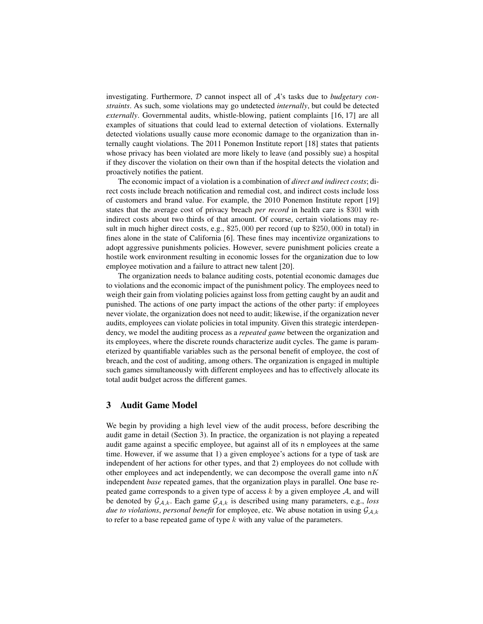investigating. Furthermore, D cannot inspect all of A's tasks due to *budgetary constraints*. As such, some violations may go undetected *internally*, but could be detected *externally*. Governmental audits, whistle-blowing, patient complaints [16, 17] are all examples of situations that could lead to external detection of violations. Externally detected violations usually cause more economic damage to the organization than internally caught violations. The 2011 Ponemon Institute report [18] states that patients whose privacy has been violated are more likely to leave (and possibly sue) a hospital if they discover the violation on their own than if the hospital detects the violation and proactively notifies the patient.

The economic impact of a violation is a combination of *direct and indirect costs*; direct costs include breach notification and remedial cost, and indirect costs include loss of customers and brand value. For example, the 2010 Ponemon Institute report [19] states that the average cost of privacy breach *per record* in health care is \$301 with indirect costs about two thirds of that amount. Of course, certain violations may result in much higher direct costs, e.g., \$25, 000 per record (up to \$250, 000 in total) in fines alone in the state of California [6]. These fines may incentivize organizations to adopt aggressive punishments policies. However, severe punishment policies create a hostile work environment resulting in economic losses for the organization due to low employee motivation and a failure to attract new talent [20].

The organization needs to balance auditing costs, potential economic damages due to violations and the economic impact of the punishment policy. The employees need to weigh their gain from violating policies against loss from getting caught by an audit and punished. The actions of one party impact the actions of the other party: if employees never violate, the organization does not need to audit; likewise, if the organization never audits, employees can violate policies in total impunity. Given this strategic interdependency, we model the auditing process as a *repeated game* between the organization and its employees, where the discrete rounds characterize audit cycles. The game is parameterized by quantifiable variables such as the personal benefit of employee, the cost of breach, and the cost of auditing, among others. The organization is engaged in multiple such games simultaneously with different employees and has to effectively allocate its total audit budget across the different games.

# 3 Audit Game Model

We begin by providing a high level view of the audit process, before describing the audit game in detail (Section 3). In practice, the organization is not playing a repeated audit game against a specific employee, but against all of its n employees at the same time. However, if we assume that 1) a given employee's actions for a type of task are independent of her actions for other types, and that 2) employees do not collude with other employees and act independently, we can decompose the overall game into  $nK$ independent *base* repeated games, that the organization plays in parallel. One base repeated game corresponds to a given type of access  $k$  by a given employee  $A$ , and will be denoted by  $\mathcal{G}_{A,k}$ . Each game  $\mathcal{G}_{A,k}$  is described using many parameters, e.g., *loss due to violations, personal benefit* for employee, etc. We abuse notation in using  $G_{A,k}$ to refer to a base repeated game of type  $k$  with any value of the parameters.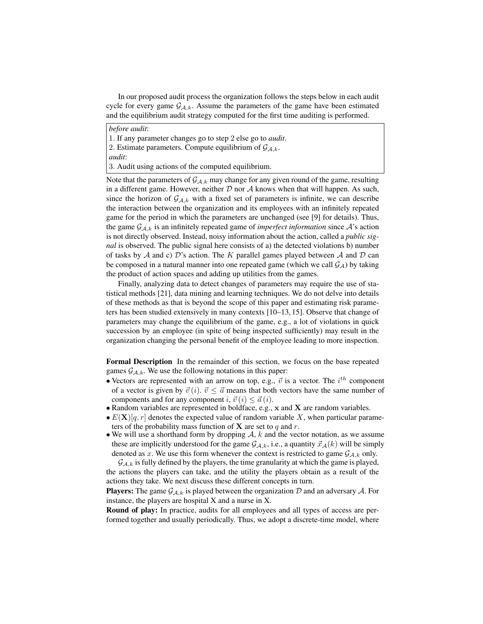In our proposed audit process the organization follows the steps below in each audit cycle for every game  $\mathcal{G}_{A,k}$ . Assume the parameters of the game have been estimated and the equilibrium audit strategy computed for the first time auditing is performed.

*before audit*:

- 1. If any parameter changes go to step 2 else go to *audit*.
- 2. Estimate parameters. Compute equilibrium of  $\mathcal{G}_{A,k}$ .

*audit*:

3. Audit using actions of the computed equilibrium.

Note that the parameters of  $\mathcal{G}_{A,k}$  may change for any given round of the game, resulting in a different game. However, neither  $D$  nor  $A$  knows when that will happen. As such, since the horizon of  $\mathcal{G}_{A,k}$  with a fixed set of parameters is infinite, we can describe the interaction between the organization and its employees with an infinitely repeated game for the period in which the parameters are unchanged (see [9] for details). Thus, the game  $\mathcal{G}_{A,k}$  is an infinitely repeated game of *imperfect information* since  $\mathcal{A}$ 's action is not directly observed. Instead, noisy information about the action, called a *public signal* is observed. The public signal here consists of a) the detected violations b) number of tasks by  $A$  and c)  $D$ 's action. The K parallel games played between  $A$  and  $D$  can be composed in a natural manner into one repeated game (which we call  $\mathcal{G}_{\mathcal{A}}$ ) by taking the product of action spaces and adding up utilities from the games.

Finally, analyzing data to detect changes of parameters may require the use of statistical methods [21], data mining and learning techniques. We do not delve into details of these methods as that is beyond the scope of this paper and estimating risk parameters has been studied extensively in many contexts [10–13, 15]. Observe that change of parameters may change the equilibrium of the game, e.g., a lot of violations in quick succession by an employee (in spite of being inspected sufficiently) may result in the organization changing the personal benefit of the employee leading to more inspection.

Formal Description In the remainder of this section, we focus on the base repeated games  $\mathcal{G}_{A,k}$ . We use the following notations in this paper:

- Vectors are represented with an arrow on top, e.g.,  $\vec{v}$  is a vector. The  $i^{th}$  component of a vector is given by  $\vec{v}(i)$ .  $\vec{v} \leq \vec{a}$  means that both vectors have the same number of components and for any component i,  $\vec{v}$  (i)  $\leq \vec{a}$  (i).
- Random variables are represented in boldface, e.g., x and X are random variables.
- $E(X)[q, r]$  denotes the expected value of random variable X, when particular parameters of the probability mass function of **X** are set to q and r.
- We will use a shorthand form by dropping  $A$ ,  $k$  and the vector notation, as we assume these are implicitly understood for the game  $\mathcal{G}_{A,k}$ , i.e., a quantity  $\vec{x}_A(k)$  will be simply denoted as x. We use this form whenever the context is restricted to game  $\mathcal{G}_{A,k}$  only.

 $\mathcal{G}_{A,k}$  is fully defined by the players, the time granularity at which the game is played, the actions the players can take, and the utility the players obtain as a result of the actions they take. We next discuss these different concepts in turn.

**Players:** The game  $\mathcal{G}_{A,k}$  is played between the organization  $D$  and an adversary  $A$ . For instance, the players are hospital X and a nurse in X.

Round of play: In practice, audits for all employees and all types of access are performed together and usually periodically. Thus, we adopt a discrete-time model, where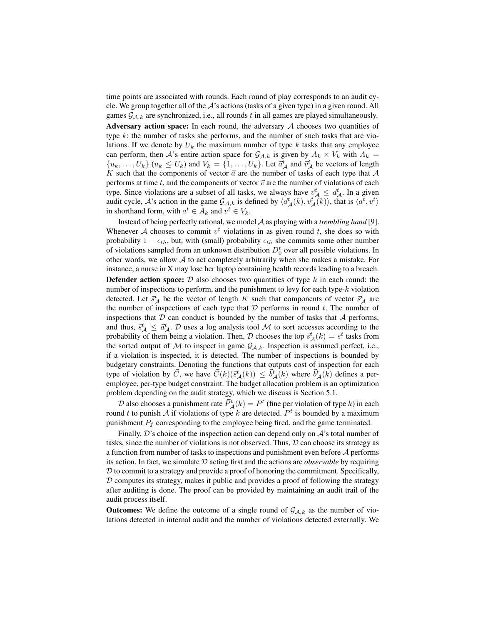time points are associated with rounds. Each round of play corresponds to an audit cycle. We group together all of the  $A$ 's actions (tasks of a given type) in a given round. All games  $\mathcal{G}_{A,k}$  are synchronized, i.e., all rounds t in all games are played simultaneously. Adversary action space: In each round, the adversary  $A$  chooses two quantities of type  $k$ : the number of tasks she performs, and the number of such tasks that are violations. If we denote by  $U_k$  the maximum number of type k tasks that any employee can perform, then A's entire action space for  $\mathcal{G}_{A,k}$  is given by  $A_k \times V_k$  with  $A_k =$  $\{u_k, \ldots, U_k\}$   $(u_k \leq U_k)$  and  $V_k = \{1, \ldots, U_k\}$ . Let  $\vec{a}_\mathcal{A}^t$  and  $\vec{v}_\mathcal{A}^t$  be vectors of length K such that the components of vector  $\vec{a}$  are the number of tasks of each type that A performs at time t, and the components of vector  $\vec{v}$  are the number of violations of each type. Since violations are a subset of all tasks, we always have  $\vec{v}^t_A \leq \vec{a}^t_A$ . In a given audit cycle, A's action in the game  $\mathcal{G}_{A,k}$  is defined by  $\langle \vec{a}_A^t(k), \vec{v}_A^t(k) \rangle$ , that is  $\langle a^t, v^t \rangle$ in shorthand form, with  $a^t \in A_k$  and  $v^t \in V_k$ .

Instead of being perfectly rational, we model A as playing with a *trembling hand* [9]. Whenever A chooses to commit  $v<sup>t</sup>$  violations in as given round t, she does so with probability  $1 - \epsilon_{th}$ , but, with (small) probability  $\epsilon_{th}$  she commits some other number of violations sampled from an unknown distribution  $D_0^t$  over all possible violations. In other words, we allow  $A$  to act completely arbitrarily when she makes a mistake. For instance, a nurse in X may lose her laptop containing health records leading to a breach. **Defender action space:**  $D$  also chooses two quantities of type k in each round: the number of inspections to perform, and the punishment to levy for each type-k violation detected. Let  $\bar{s}_{\mathcal{A}}^t$  be the vector of length K such that components of vector  $\bar{s}_{\mathcal{A}}^t$  are the number of inspections of each type that  $D$  performs in round  $t$ . The number of inspections that  $D$  can conduct is bounded by the number of tasks that  $A$  performs, and thus,  $\vec{s}_A^t \leq \vec{a}_A^t$ .  $D$  uses a log analysis tool  $M$  to sort accesses according to the probability of them being a violation. Then, D chooses the top  $\bar{s}_{\mathcal{A}}^t(k) = s^t$  tasks from the sorted output of  $M$  to inspect in game  $\mathcal{G}_{A,k}$ . Inspection is assumed perfect, i.e., if a violation is inspected, it is detected. The number of inspections is bounded by budgetary constraints. Denoting the functions that outputs cost of inspection for each type of violation by  $\vec{C}$ , we have  $\vec{C}(k)(\vec{s}_{\mathcal{A}}^t(k)) \leq \vec{b}_{\mathcal{A}}^t(k)$  where  $\vec{b}_{\mathcal{A}}^t(k)$  defines a peremployee, per-type budget constraint. The budget allocation problem is an optimization problem depending on the audit strategy, which we discuss is Section 5.1.

 ${\cal D}$  also chooses a punishment rate  $\vec P^t_{\cal A}(k) = P^t$  (fine per violation of type  $k$ ) in each round t to punish A if violations of type k are detected.  $P<sup>t</sup>$  is bounded by a maximum punishment  $P_f$  corresponding to the employee being fired, and the game terminated.

Finally,  $\mathcal{D}$ 's choice of the inspection action can depend only on  $\mathcal{A}$ 's total number of tasks, since the number of violations is not observed. Thus,  $D$  can choose its strategy as a function from number of tasks to inspections and punishment even before A performs its action. In fact, we simulate D acting first and the actions are *observable* by requiring  $D$  to commit to a strategy and provide a proof of honoring the commitment. Specifically,  $D$  computes its strategy, makes it public and provides a proof of following the strategy after auditing is done. The proof can be provided by maintaining an audit trail of the audit process itself.

**Outcomes:** We define the outcome of a single round of  $\mathcal{G}_{A,k}$  as the number of violations detected in internal audit and the number of violations detected externally. We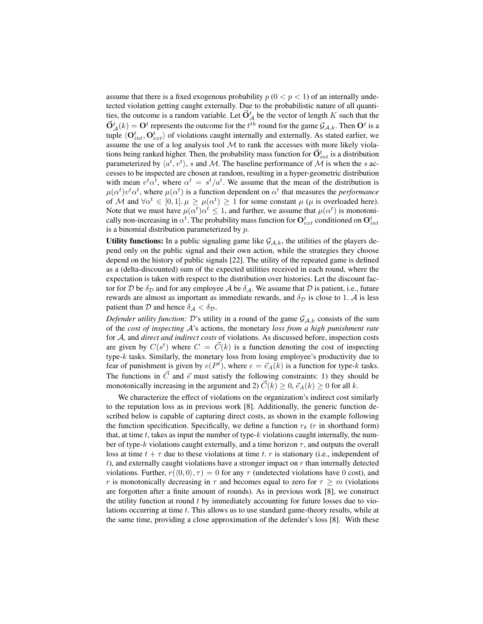assume that there is a fixed exogenous probability  $p (0 < p < 1)$  of an internally undetected violation getting caught externally. Due to the probabilistic nature of all quantities, the outcome is a random variable. Let  $\vec{O}_{\mathcal{A}}^{t}$  be the vector of length K such that the  $\vec{\mathbf{O}}_{\mathcal{A}}^t(k) = \mathbf{O}^t$  represents the outcome for the  $t^{th}$  round for the game  $\mathcal{G}_{\mathcal{A},k}$ . Then  $\mathbf{O}^t$  is a tuple  $\langle O_{int}^t, O_{ext}^t \rangle$  of violations caught internally and externally. As stated earlier, we assume the use of a log analysis tool  $M$  to rank the accesses with more likely violations being ranked higher. Then, the probability mass function for  $\vec{\mathrm{O}}^{t}_{int}$  is a distribution parameterized by  $\langle a^t, v^t \rangle$ , s and M. The baseline performance of M is when the s accesses to be inspected are chosen at random, resulting in a hyper-geometric distribution with mean  $v^t \alpha^t$ , where  $\alpha^t = s^t / a^t$ . We assume that the mean of the distribution is  $\mu(\alpha^t)v^t\alpha^t$ , where  $\mu(\alpha^t)$  is a function dependent on  $\alpha^t$  that measures the *performance* of M and  $\forall \alpha^t \in [0,1]$ .  $\mu \ge \mu(\alpha^t) \ge 1$  for some constant  $\mu$  ( $\mu$  is overloaded here). Note that we must have  $\mu(\alpha^t) \alpha^t \leq 1$ , and further, we assume that  $\mu(\alpha^t)$  is monotonically non-increasing in  $\alpha^t.$  The probability mass function for  $\mathbf{O}^t_{ext}$  conditioned on  $\mathbf{O}^t_{int}$ is a binomial distribution parameterized by  $p$ .

Utility functions: In a public signaling game like  $\mathcal{G}_{A,k}$ , the utilities of the players depend only on the public signal and their own action, while the strategies they choose depend on the history of public signals [22]. The utility of the repeated game is defined as a (delta-discounted) sum of the expected utilities received in each round, where the expectation is taken with respect to the distribution over histories. Let the discount factor for D be  $\delta_{\mathcal{D}}$  and for any employee A be  $\delta_A$ . We assume that D is patient, i.e., future rewards are almost as important as immediate rewards, and  $\delta_{\mathcal{D}}$  is close to 1. A is less patient than D and hence  $\delta_A < \delta_D$ .

*Defender utility function:* D's utility in a round of the game  $\mathcal{G}_{A,k}$  consists of the sum of the *cost of inspecting* A's actions, the monetary *loss from a high punishment rate* for A, and *direct and indirect costs* of violations. As discussed before, inspection costs are given by  $C(s^t)$  where  $C = \vec{C}(k)$  is a function denoting the cost of inspecting type- $k$  tasks. Similarly, the monetary loss from losing employee's productivity due to fear of punishment is given by  $e(P^t)$ , where  $e = \vec{e}_A(k)$  is a function for type-k tasks. The functions in  $\vec{C}$  and  $\vec{e}$  must satisfy the following constraints: 1) they should be monotonically increasing in the argument and 2)  $\vec{C}(k) \geq 0$ ,  $\vec{e}_A(k) \geq 0$  for all k.

We characterize the effect of violations on the organization's indirect cost similarly to the reputation loss as in previous work [8]. Additionally, the generic function described below is capable of capturing direct costs, as shown in the example following the function specification. Specifically, we define a function  $r_k$  (r in shorthand form) that, at time t, takes as input the number of type- $k$  violations caught internally, the number of type-k violations caught externally, and a time horizon  $\tau$ , and outputs the overall loss at time  $t + \tau$  due to these violations at time t. r is stationary (i.e., independent of t), and externally caught violations have a stronger impact on  $r$  than internally detected violations. Further,  $r(\langle 0, 0 \rangle, \tau) = 0$  for any  $\tau$  (undetected violations have 0 cost), and r is monotonically decreasing in  $\tau$  and becomes equal to zero for  $\tau > m$  (violations are forgotten after a finite amount of rounds). As in previous work [8], we construct the utility function at round  $t$  by immediately accounting for future losses due to violations occurring at time  $t$ . This allows us to use standard game-theory results, while at the same time, providing a close approximation of the defender's loss [8]. With these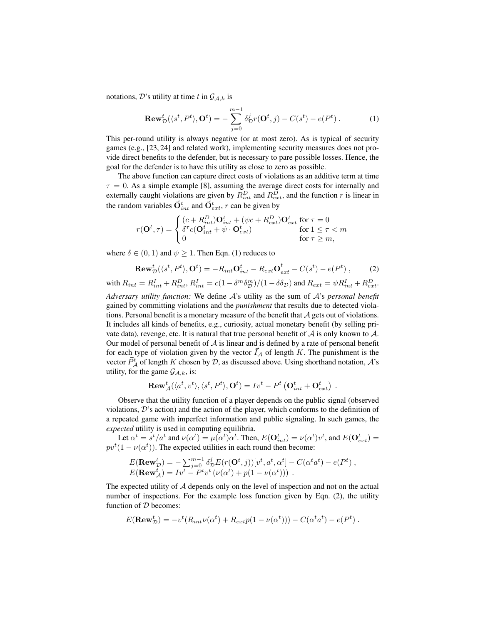notations, D's utility at time t in  $\mathcal{G}_{A,k}$  is

$$
\operatorname{Row}^t_{\mathcal{D}}(\langle s^t, P^t \rangle, \mathbf{O}^t) = -\sum_{j=0}^{m-1} \delta^j_{\mathcal{D}} r(\mathbf{O}^t, j) - C(s^t) - e(P^t) . \tag{1}
$$

This per-round utility is always negative (or at most zero). As is typical of security games (e.g., [23, 24] and related work), implementing security measures does not provide direct benefits to the defender, but is necessary to pare possible losses. Hence, the goal for the defender is to have this utility as close to zero as possible.

The above function can capture direct costs of violations as an additive term at time  $\tau = 0$ . As a simple example [8], assuming the average direct costs for internally and externally caught violations are given by  $R_{int}^D$  and  $R_{ext}^D$ , and the function r is linear in the random variables  $\vec{\mathbf{O}}_{int}^{t}$  and  $\vec{\mathbf{O}}_{ext}^{t}$ ,  $r$  can be given by

$$
r(\mathbf{O}^{t},\tau) = \begin{cases} (c+R_{int}^{D})\mathbf{O}_{int}^{t} + (\psi c+R_{ext}^{D})\mathbf{O}_{ext}^{t} \text{ for } \tau=0\\ \delta^{\tau}c(\mathbf{O}_{int}^{t}+\psi\cdot\mathbf{O}_{ext}^{t}) \hspace{1cm} \text{ for } 1\leq \tau < m \\ 0 \hspace{1cm} \text{ for } \tau\geq m, \end{cases}
$$

where  $\delta \in (0, 1)$  and  $\psi \geq 1$ . Then Eqn. (1) reduces to

$$
\mathbf{Rew}^t_{\mathcal{D}}(\langle s^t, P^t \rangle, \mathbf{O}^t) = -R_{int} \mathbf{O}^t_{int} - R_{ext} \mathbf{O}^t_{ext} - C(s^t) - e(P^t) ,\tag{2}
$$

with  $R_{int} = R_{int}^I + R_{int}^D$ ,  $R_{int}^I = c(1 - \delta^m \delta^m_D)/(1 - \delta \delta_D)$  and  $R_{ext} = \psi R_{int}^I + R_{ext}^D$ . *Adversary utility function:* We define A's utility as the sum of A's *personal benefit* gained by committing violations and the *punishment* that results due to detected violations. Personal benefit is a monetary measure of the benefit that  $A$  gets out of violations. It includes all kinds of benefits, e.g., curiosity, actual monetary benefit (by selling private data), revenge, etc. It is natural that true personal benefit of  $A$  is only known to  $A$ . Our model of personal benefit of  $A$  is linear and is defined by a rate of personal benefit for each type of violation given by the vector  $\vec{I}_A$  of length K. The punishment is the vector  $\vec{P}_A^t$  of length K chosen by  $\mathcal{D}$ , as discussed above. Using shorthand notation, A's utility, for the game  $\mathcal{G}_{A,k}$ , is:

$$
\operatorname{Row}^t_{\mathcal{A}}(\langle a^t, v^t \rangle, \langle s^t, P^t \rangle, \mathbf{O}^t) = Iv^t - P^t \left( \mathbf{O}^t_{int} + \mathbf{O}^t_{ext} \right) .
$$

Observe that the utility function of a player depends on the public signal (observed violations,  $\mathcal{D}$ 's action) and the action of the player, which conforms to the definition of a repeated game with imperfect information and public signaling. In such games, the *expected* utility is used in computing equilibria.

Let  $\alpha^t = s^t/a^t$  and  $\nu(\alpha^t) = \mu(\alpha^t)\alpha^t$ . Then,  $E(\mathbf{O}_{int}^t) = \nu(\alpha^t)v^t$ , and  $E(\mathbf{O}_{ext}^t) =$  $pv^{t}(1 - \nu(\alpha^{t}))$ . The expected utilities in each round then become:

$$
E(\mathbf{Rew}^t_{\mathcal{D}}) = -\sum_{j=0}^{m-1} \delta_{\mathcal{D}}^j E(r(\mathbf{O}^t, j))[v^t, a^t, \alpha^t] - C(\alpha^t a^t) - e(P^t),
$$
  
 
$$
E(\mathbf{Rew}^t_{\mathcal{A}}) = Iv^t - P^t v^t (\nu(\alpha^t) + p(1 - \nu(\alpha^t))) .
$$

The expected utility of  $A$  depends only on the level of inspection and not on the actual number of inspections. For the example loss function given by Eqn. (2), the utility function of  $D$  becomes:

$$
E(\mathbf{R}\mathbf{e}\mathbf{w}_\mathcal{D}^t) = -v^t(R_{int}\nu(\alpha^t) + R_{ext}p(1-\nu(\alpha^t))) - C(\alpha^t a^t) - e(P^t).
$$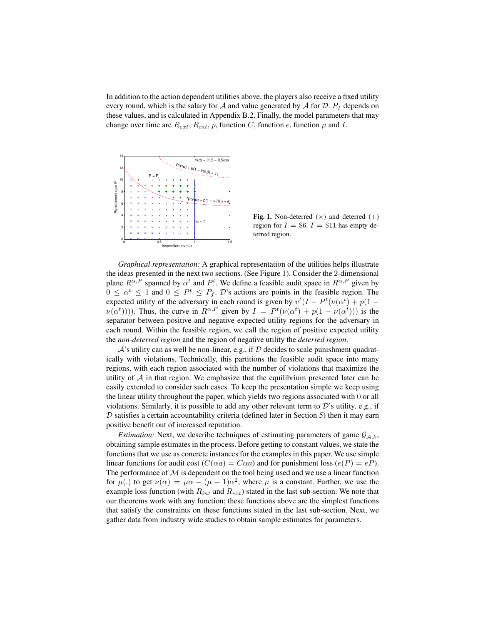In addition to the action dependent utilities above, the players also receive a fixed utility every round, which is the salary for A and value generated by A for D.  $P_f$  depends on these values, and is calculated in Appendix B.2. Finally, the model parameters that may change over time are  $R_{ext}$ ,  $R_{int}$ ,  $p$ , function  $C$ , function  $e$ , function  $\mu$  and  $I$ .



Fig. 1. Non-deterred  $(\times)$  and deterred  $(+)$ region for  $I = $6$ .  $I = $11$  has empty deterred region.

*Graphical representation:* A graphical representation of the utilities helps illustrate the ideas presented in the next two sections. (See Figure 1). Consider the 2-dimensional plane  $R^{\alpha,P}$  spanned by  $\alpha^t$  and  $P^t$ . We define a feasible audit space in  $R^{\alpha,P}$  given by  $0 \leq \alpha^t \leq 1$  and  $0 \leq P^t \leq P_f$ .  $\mathcal{D}$ 's actions are points in the feasible region. The expected utility of the adversary in each round is given by  $v^{t}(I - P^{t}(\nu(\alpha^{t}) + p(1 - \alpha^{t}))$  $\nu(\alpha^t)$ ))). Thus, the curve in  $R^{\alpha,P}$  given by  $I = P^t(\nu(\alpha^t) + p(1 - \nu(\alpha^t)))$  is the separator between positive and negative expected utility regions for the adversary in each round. Within the feasible region, we call the region of positive expected utility the *non-deterred region* and the region of negative utility the *deterred region*.

 $\mathcal{A}$ 's utility can as well be non-linear, e.g., if  $\mathcal D$  decides to scale punishment quadratically with violations. Technically, this partitions the feasible audit space into many regions, with each region associated with the number of violations that maximize the utility of  $A$  in that region. We emphasize that the equilibrium presented later can be easily extended to consider such cases. To keep the presentation simple we keep using the linear utility throughout the paper, which yields two regions associated with 0 or all violations. Similarly, it is possible to add any other relevant term to  $\mathcal{D}'$ 's utility, e.g., if  $D$  satisfies a certain accountability criteria (defined later in Section 5) then it may earn positive benefit out of increased reputation.

*Estimation:* Next, we describe techniques of estimating parameters of game  $G_{A,k}$ , obtaining sample estimates in the process. Before getting to constant values, we state the functions that we use as concrete instances for the examples in this paper. We use simple linear functions for audit cost  $(C(\alpha a) = C(\alpha a))$  and for punishment loss  $(e(P) = eP)$ . The performance of  $M$  is dependent on the tool being used and we use a linear function for  $\mu(.)$  to get  $\nu(\alpha) = \mu \alpha - (\mu - 1)\alpha^2$ , where  $\mu$  is a constant. Further, we use the example loss function (with  $R_{int}$  and  $R_{ext}$ ) stated in the last sub-section. We note that our theorems work with any function; these functions above are the simplest functions that satisfy the constraints on these functions stated in the last sub-section. Next, we gather data from industry wide studies to obtain sample estimates for parameters.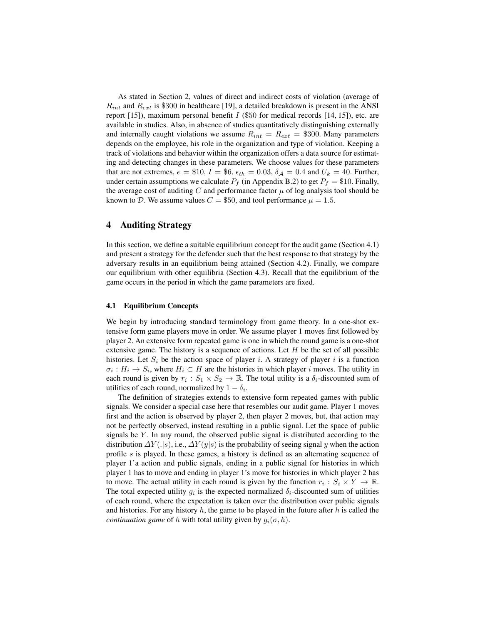As stated in Section 2, values of direct and indirect costs of violation (average of  $R_{int}$  and  $R_{ext}$  is \$300 in healthcare [19], a detailed breakdown is present in the ANSI report  $[15]$ ), maximum personal benefit  $I$  (\$50 for medical records  $[14, 15]$ ), etc. are available in studies. Also, in absence of studies quantitatively distinguishing externally and internally caught violations we assume  $R_{int} = R_{ext} = $300$ . Many parameters depends on the employee, his role in the organization and type of violation. Keeping a track of violations and behavior within the organization offers a data source for estimating and detecting changes in these parameters. We choose values for these parameters that are not extremes,  $e = $10$ ,  $I = $6$ ,  $\epsilon_{th} = 0.03$ ,  $\delta_{A} = 0.4$  and  $U_{k} = 40$ . Further, under certain assumptions we calculate  $P_f$  (in Appendix B.2) to get  $P_f = $10$ . Finally, the average cost of auditing  $C$  and performance factor  $\mu$  of log analysis tool should be known to D. We assume values  $C = $50$ , and tool performance  $\mu = 1.5$ .

# 4 Auditing Strategy

In this section, we define a suitable equilibrium concept for the audit game (Section 4.1) and present a strategy for the defender such that the best response to that strategy by the adversary results in an equilibrium being attained (Section 4.2). Finally, we compare our equilibrium with other equilibria (Section 4.3). Recall that the equilibrium of the game occurs in the period in which the game parameters are fixed.

#### 4.1 Equilibrium Concepts

We begin by introducing standard terminology from game theory. In a one-shot extensive form game players move in order. We assume player 1 moves first followed by player 2. An extensive form repeated game is one in which the round game is a one-shot extensive game. The history is a sequence of actions. Let  $H$  be the set of all possible histories. Let  $S_i$  be the action space of player i. A strategy of player i is a function  $\sigma_i: H_i \to S_i$ , where  $H_i \subset H$  are the histories in which player i moves. The utility in each round is given by  $r_i : S_1 \times S_2 \to \mathbb{R}$ . The total utility is a  $\delta_i$ -discounted sum of utilities of each round, normalized by  $1 - \delta_i$ .

The definition of strategies extends to extensive form repeated games with public signals. We consider a special case here that resembles our audit game. Player 1 moves first and the action is observed by player 2, then player 2 moves, but, that action may not be perfectly observed, instead resulting in a public signal. Let the space of public signals be  $Y$ . In any round, the observed public signal is distributed according to the distribution  $\Delta Y(.|s)$ , i.e.,  $\Delta Y(y|s)$  is the probability of seeing signal y when the action profile  $s$  is played. In these games, a history is defined as an alternating sequence of player 1'a action and public signals, ending in a public signal for histories in which player 1 has to move and ending in player 1's move for histories in which player 2 has to move. The actual utility in each round is given by the function  $r_i : S_i \times Y \to \mathbb{R}$ . The total expected utility  $g_i$  is the expected normalized  $\delta_i$ -discounted sum of utilities of each round, where the expectation is taken over the distribution over public signals and histories. For any history  $h$ , the game to be played in the future after  $h$  is called the *continuation game* of h with total utility given by  $g_i(\sigma, h)$ .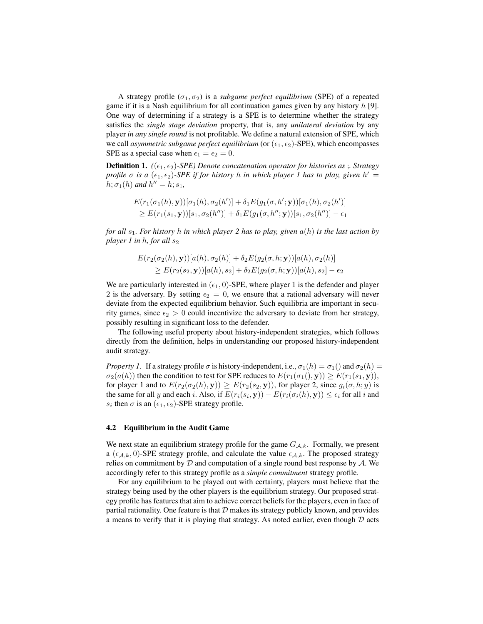A strategy profile  $(\sigma_1, \sigma_2)$  is a *subgame perfect equilibrium* (SPE) of a repeated game if it is a Nash equilibrium for all continuation games given by any history  $h$  [9]. One way of determining if a strategy is a SPE is to determine whether the strategy satisfies the *single stage deviation* property, that is, any *unilateral deviation* by any player *in any single round* is not profitable. We define a natural extension of SPE, which we call *asymmetric subgame perfect equilibrium* (or  $(\epsilon_1, \epsilon_2)$ -SPE), which encompasses SPE as a special case when  $\epsilon_1 = \epsilon_2 = 0$ .

**Definition 1.**  $((\epsilon_1, \epsilon_2)$ -SPE) Denote concatenation operator for histories as ;. Strategy *profile*  $\sigma$  *is a* ( $\epsilon_1, \epsilon_2$ )-*SPE if for history h in which player* 1 has to play, given  $h' =$  $h; \sigma_1(h)$  *and*  $h'' = h; s_1$ *,* 

$$
E(r_1(\sigma_1(h), \mathbf{y}))[\sigma_1(h), \sigma_2(h')] + \delta_1 E(g_1(\sigma, h'; \mathbf{y}))[\sigma_1(h), \sigma_2(h')]
$$
  
\n
$$
\geq E(r_1(s_1, \mathbf{y}))[s_1, \sigma_2(h'')] + \delta_1 E(g_1(\sigma, h''; \mathbf{y}))[s_1, \sigma_2(h'')] - \epsilon_1
$$

*for all* s1*. For history* h *in which player 2 has to play, given* a(h) *is the last action by player 1 in h, for all*  $s_2$ 

$$
E(r_2(\sigma_2(h), \mathbf{y}))[a(h), \sigma_2(h)] + \delta_2 E(g_2(\sigma, h; \mathbf{y}))[a(h), \sigma_2(h)]
$$
  
\n
$$
\geq E(r_2(s_2, \mathbf{y}))[a(h), s_2] + \delta_2 E(g_2(\sigma, h; \mathbf{y}))[a(h), s_2] - \epsilon_2
$$

We are particularly interested in  $(\epsilon_1, 0)$ -SPE, where player 1 is the defender and player 2 is the adversary. By setting  $\epsilon_2 = 0$ , we ensure that a rational adversary will never deviate from the expected equilibrium behavior. Such equilibria are important in security games, since  $\epsilon_2 > 0$  could incentivize the adversary to deviate from her strategy, possibly resulting in significant loss to the defender.

The following useful property about history-independent strategies, which follows directly from the definition, helps in understanding our proposed history-independent audit strategy.

*Property 1.* If a strategy profile  $\sigma$  is history-independent, i.e.,  $\sigma_1(h) = \sigma_1($ ) and  $\sigma_2(h) =$  $\sigma_2(a(h))$  then the condition to test for SPE reduces to  $E(r_1(\sigma_1(), \mathbf{y})) \geq E(r_1(s_1, \mathbf{y})),$ for player 1 and to  $E(r_2(\sigma_2(h), \mathbf{y})) \ge E(r_2(s_2, \mathbf{y}))$ , for player 2, since  $g_i(\sigma, h; y)$  is the same for all y and each i. Also, if  $E(r_i(s_i, y)) - E(r_i(\sigma_i(h), y)) \le \epsilon_i$  for all i and  $s_i$  then  $\sigma$  is an  $(\epsilon_1, \epsilon_2)$ -SPE strategy profile.

#### 4.2 Equilibrium in the Audit Game

We next state an equilibrium strategy profile for the game  $G_{A,k}$ . Formally, we present a  $(\epsilon_{A,k}, 0)$ -SPE strategy profile, and calculate the value  $\epsilon_{A,k}$ . The proposed strategy relies on commitment by  $D$  and computation of a single round best response by  $\mathcal{A}$ . We accordingly refer to this strategy profile as a *simple commitment* strategy profile.

For any equilibrium to be played out with certainty, players must believe that the strategy being used by the other players is the equilibrium strategy. Our proposed strategy profile has features that aim to achieve correct beliefs for the players, even in face of partial rationality. One feature is that  $D$  makes its strategy publicly known, and provides a means to verify that it is playing that strategy. As noted earlier, even though  $D$  acts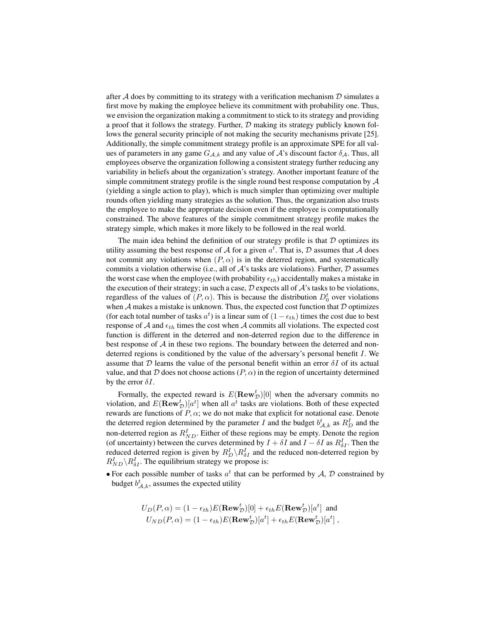after  $\mathcal A$  does by committing to its strategy with a verification mechanism  $\mathcal D$  simulates a first move by making the employee believe its commitment with probability one. Thus, we envision the organization making a commitment to stick to its strategy and providing a proof that it follows the strategy. Further,  $D$  making its strategy publicly known follows the general security principle of not making the security mechanisms private [25]. Additionally, the simple commitment strategy profile is an approximate SPE for all values of parameters in any game  $G_{A,k}$  and any value of  $A$ 's discount factor  $\delta_A$ . Thus, all employees observe the organization following a consistent strategy further reducing any variability in beliefs about the organization's strategy. Another important feature of the simple commitment strategy profile is the single round best response computation by A (yielding a single action to play), which is much simpler than optimizing over multiple rounds often yielding many strategies as the solution. Thus, the organization also trusts the employee to make the appropriate decision even if the employee is computationally constrained. The above features of the simple commitment strategy profile makes the strategy simple, which makes it more likely to be followed in the real world.

The main idea behind the definition of our strategy profile is that  $D$  optimizes its utility assuming the best response of A for a given  $a^t$ . That is, D assumes that A does not commit any violations when  $(P, \alpha)$  is in the deterred region, and systematically commits a violation otherwise (i.e., all of  $A$ 's tasks are violations). Further,  $D$  assumes the worst case when the employee (with probability  $\epsilon_{th}$ ) accidentally makes a mistake in the execution of their strategy; in such a case,  $D$  expects all of  $A$ 's tasks to be violations, regardless of the values of  $(P, \alpha)$ . This is because the distribution  $D_0^t$  over violations when  $A$  makes a mistake is unknown. Thus, the expected cost function that  $D$  optimizes (for each total number of tasks  $a^t$ ) is a linear sum of  $(1 - \epsilon_{th})$  times the cost due to best response of A and  $\epsilon_{th}$  times the cost when A commits all violations. The expected cost function is different in the deterred and non-deterred region due to the difference in best response of  $A$  in these two regions. The boundary between the deterred and nondeterred regions is conditioned by the value of the adversary's personal benefit  $I$ . We assume that  $D$  learns the value of the personal benefit within an error  $\delta I$  of its actual value, and that D does not choose actions  $(P, \alpha)$  in the region of uncertainty determined by the error  $\delta I$ .

Formally, the expected reward is  $E(\text{Row}^t_\mathcal{D})[0]$  when the adversary commits no violation, and  $E(\text{Rew}_{\mathcal{D}}^t)[a^t]$  when all  $a^t$  tasks are violations. Both of these expected rewards are functions of  $P, \alpha$ ; we do not make that explicit for notational ease. Denote the deterred region determined by the parameter I and the budget  $b_{A,k}^{t}$  as  $R_{D}^{I}$  and the non-deterred region as  $R_{ND}^I$ . Either of these regions may be empty. Denote the region (of uncertainty) between the curves determined by  $I + \delta I$  and  $I - \delta I$  as  $R_{\delta I}^I$ . Then the reduced deterred region is given by  $R_D^I \backslash R_{\delta I}^I$  and the reduced non-deterred region by  $R_{ND}^I \backslash R_{\delta I}^I$ . The equilibrium strategy we propose is:

• For each possible number of tasks  $a^t$  that can be performed by A, D constrained by budget  $b_{\mathcal{A},k}^{t}$ , assumes the expected utility

$$
U_D(P, \alpha) = (1 - \epsilon_{th})E(\mathbf{Rew}_D^t)[0] + \epsilon_{th}E(\mathbf{Rew}_D^t)[a^t]
$$
 and  

$$
U_{ND}(P, \alpha) = (1 - \epsilon_{th})E(\mathbf{Rew}_D^t)[a^t] + \epsilon_{th}E(\mathbf{Rew}_D^t)[a^t],
$$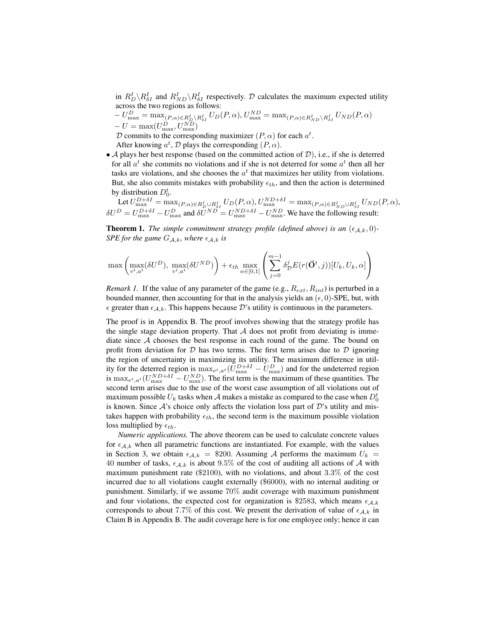in  $R_D^I \setminus R_{\delta I}^I$  and  $R_{ND}^I \setminus R_{\delta I}^I$  respectively. D calculates the maximum expected utility across the two regions as follows:

 $-U_{\max}^D = \max_{(P,\alpha)\in R_D^I\setminus R_{\delta I}^I} U_D(P,\alpha), U_{\max}^{ND} = \max_{(P,\alpha)\in R_{ND}^I\setminus R_{\delta I}^I} U_{ND}(P,\alpha)$  $-U = \max(U_{\text{max}}^D, U_{\text{max}}^{ND})$ 

D commits to the corresponding maximizer  $(P, \alpha)$  for each  $a^t$ .

After knowing  $a^t$ ,  $\mathcal D$  plays the corresponding  $(P, \alpha)$ .

• A plays her best response (based on the committed action of  $\mathcal{D}$ ), i.e., if she is deterred for all  $a^t$  she commits no violations and if she is not deterred for some  $a^t$  then all her tasks are violations, and she chooses the  $a<sup>t</sup>$  that maximizes her utility from violations. But, she also commits mistakes with probability  $\epsilon_{th}$ , and then the action is determined by distribution  $D_0^t$ .

Let  $U_{\text{max}}^{D+ \delta I} = \max_{(P,\alpha) \in R_D^I \cup R_{\delta I}^I} U_D(P,\alpha)$ ,  $U_{\text{max}}^{ND+\delta I} = \max_{(P,\alpha) \in R_{ND}^I \cup R_{\delta I}^I} U_{ND}(P,\alpha)$ ,  $\delta U^D = U_{\text{max}}^{D+\delta I} - U_{\text{max}}^D$  and  $\delta U^{ND} = U_{\text{max}}^{ND+\delta I} - U_{\text{max}}^{ND}$ . We have the following result:

**Theorem 1.** *The simple commitment strategy profile (defined above) is an*  $(\epsilon_{A,k}, 0)$ -*SPE for the game*  $G_{A,k}$ *, where*  $\epsilon_{A,k}$  *is* 

$$
\max\left(\max_{v^t, a^t} (\delta U^D), \max_{v^t, a^t} (\delta U^{ND})\right) + \epsilon_{th} \max_{\alpha \in [0,1]} \left(\sum_{j=0}^{m-1} \delta_{\mathcal{D}}^j E(r(\vec{\mathbf{O}}^t, j))[U_k, U_k, \alpha]\right)
$$

*Remark 1.* If the value of any parameter of the game (e.g.,  $R_{ext}$ ,  $R_{int}$ ) is perturbed in a bounded manner, then accounting for that in the analysis yields an  $(\epsilon, 0)$ -SPE, but, with  $\epsilon$  greater than  $\epsilon_{A,k}$ . This happens because D's utility is continuous in the parameters.

The proof is in Appendix B. The proof involves showing that the strategy profile has the single stage deviation property. That  $A$  does not profit from deviating is immediate since A chooses the best response in each round of the game. The bound on profit from deviation for  $D$  has two terms. The first term arises due to  $D$  ignoring the region of uncertainty in maximizing its utility. The maximum difference in utility for the deterred region is  $\max_{v^t, a^t} (U_{\text{max}}^{D+\delta I} - U_{\text{max}}^D)$  and for the undeterred region is  $\max_{v^t, a^t} (U_{\text{max}}^{ND+\delta I} - U_{\text{max}}^{ND})$ . The first term is the maximum of these quantities. The second term arises due to the use of the worst case assumption of all violations out of maximum possible  $U_k$  tasks when  ${\mathcal A}$  makes a mistake as compared to the case when  $D_0^t$ is known. Since  $A$ 's choice only affects the violation loss part of  $D$ 's utility and mistakes happen with probability  $\epsilon_{th}$ , the second term is the maximum possible violation loss multiplied by  $\epsilon_{th}$ .

*Numeric applications.* The above theorem can be used to calculate concrete values for  $\epsilon_{A,k}$  when all parametric functions are instantiated. For example, with the values in Section 3, we obtain  $\epsilon_{A,k}$  = \$200. Assuming A performs the maximum  $U_k$  = 40 number of tasks,  $\epsilon_{A,k}$  is about 9.5% of the cost of auditing all actions of A with maximum punishment rate (\$2100), with no violations, and about 3.3% of the cost incurred due to all violations caught externally (\$6000), with no internal auditing or punishment. Similarly, if we assume 70% audit coverage with maximum punishment and four violations, the expected cost for organization is \$2583, which means  $\epsilon_{A,k}$ corresponds to about 7.7% of this cost. We present the derivation of value of  $\epsilon_{A,k}$  in Claim B in Appendix B. The audit coverage here is for one employee only; hence it can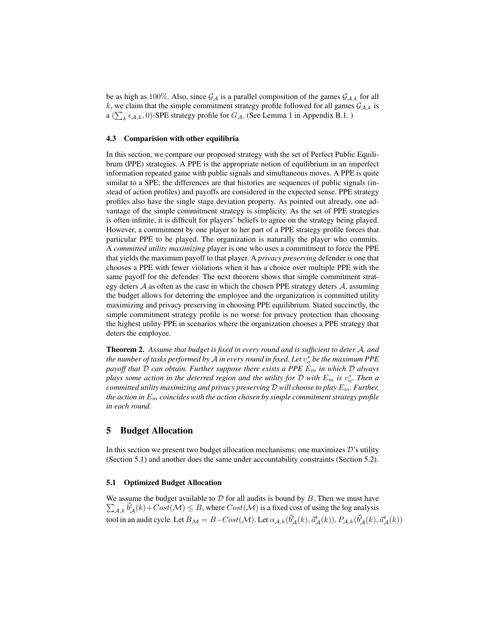be as high as 100%. Also, since  $\mathcal{G}_{\mathcal{A}}$  is a parallel composition of the games  $\mathcal{G}_{\mathcal{A},k}$  for all k, we claim that the simple commitment strategy profile followed for all games  $\mathcal{G}_{A,k}$  is a ( $\sum_{k} \epsilon_{A,k}$ , 0)-SPE strategy profile for  $G_A$ . (See Lemma 1 in Appendix B.1.)

#### 4.3 Comparision with other equilibria

In this section, we compare our proposed strategy with the set of Perfect Public Equilibrum (PPE) strategies. A PPE is the appropriate notion of equilibrium in an imperfect information repeated game with public signals and simultaneous moves. A PPE is quite similar to a SPE; the differences are that histories are sequences of public signals (instead of action profiles) and payoffs are considered in the expected sense. PPE strategy profiles also have the single stage deviation property. As pointed out already, one advantage of the simple commitment strategy is simplicity. As the set of PPE strategies is often infinite, it is difficult for players' beliefs to agree on the strategy being played. However, a commitment by one player to her part of a PPE strategy profile forces that particular PPE to be played. The organization is naturally the player who commits. A *committed utility maximizing* player is one who uses a commitment to force the PPE that yields the maximum payoff to that player. A *privacy preserving* defender is one that chooses a PPE with fewer violations when it has a choice over multiple PPE with the same payoff for the defender. The next theorem shows that simple commitment strategy deters  $A$  as often as the case in which the chosen PPE strategy deters  $A$ , assuming the budget allows for deterring the employee and the organization is committed utility maximizing and privacy preserving in choosing PPE equilibrium. Stated succinctly, the simple commitment strategy profile is no worse for privacy protection than choosing the highest utility PPE in scenarios where the organization chooses a PPE strategy that deters the employee.

Theorem 2. *Assume that budget is fixed in every round and is sufficient to deter* A*, and the number of tasks performed by*  ${\cal A}$  *in every round in fixed. Let*  $v_o^*$  *be the maximum <code>PPE</code> payoff that* D *can obtain. Further suppose there exists a PPE* E<sup>m</sup> *in which* D *always plays some action in the deterred region and the utility for*  $D$  *with*  $E_m$  *is*  $v_o^*$ . Then a *committed utility maximizing and privacy preserving* D *will choose to play* Em*. Further, the action in* E<sup>m</sup> *coincides with the action chosen by simple commitment strategy profile in each round.*

### 5 Budget Allocation

In this section we present two budget allocation mechanisms: one maximizes  $D$ 's utility (Section 5.1) and another does the same under accountability constraints (Section 5.2).

#### 5.1 Optimized Budget Allocation

We assume the budget available to  $D$  for all audits is bound by  $B$ . Then we must have  $\sum_{\mathcal{A},k} \vec{b}_{\mathcal{A}}^t(k) + Cost(\mathcal{M}) \leq B$ , where  $Cost(\mathcal{M})$  is a fixed cost of using the log analysis tool in an audit cycle. Let  $B_{\mathcal{M}} = B - Cost(\mathcal{M})$ . Let  $\alpha_{\mathcal{A},k}(\vec{b}_{\mathcal{A}}^t(k),\vec{a}_{\mathcal{A}}^t(k)), P_{\mathcal{A},k}(\vec{b}_{\mathcal{A}}^t(k),\vec{a}_{\mathcal{A}}^t(k))$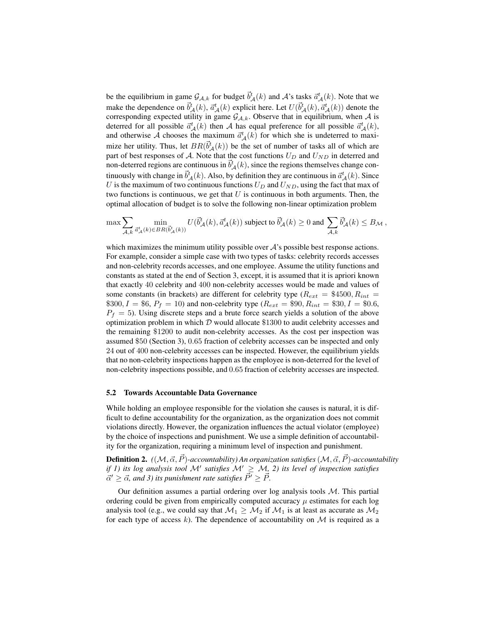be the equilibrium in game  $\mathcal{G}_{A,k}$  for budget  $\vec{b}_A^t(k)$  and  $A$ 's tasks  $\vec{a}_A^t(k)$ . Note that we make the dependence on  $\vec{b}^t_A(k)$ ,  $\vec{a}^t_A(k)$  explicit here. Let  $U(\vec{b}^t_A(k), \vec{a}^t_A(k))$  denote the corresponding expected utility in game  $G_{A,k}$ . Observe that in equilibrium, when A is deterred for all possible  $\vec{a}^t_{\mathcal{A}}(k)$  then A has equal preference for all possible  $\vec{a}^t_{\mathcal{A}}(k)$ , and otherwise A chooses the maximum  $\vec{a}^t_{\mathcal{A}}(k)$  for which she is undeterred to maximize her utility. Thus, let  $BR(\vec{b}_{\mathcal{A}}^t(k))$  be the set of number of tasks all of which are part of best responses of A. Note that the cost functions  $U_D$  and  $U_{ND}$  in deterred and non-deterred regions are continuous in  $\vec{b}_{\mathcal{A}}^t(k)$ , since the regions themselves change continuously with change in  $\vec{b}^t_{\mathcal{A}}(k)$ . Also, by definition they are continuous in  $\vec{a}^t_{\mathcal{A}}(k)$ . Since U is the maximum of two continuous functions  $U_D$  and  $U_{ND}$ , using the fact that max of two functions is continuous, we get that  $U$  is continuous in both arguments. Then, the optimal allocation of budget is to solve the following non-linear optimization problem

$$
\max \sum_{\mathcal{A}, k} \min_{\vec{a}^t_{\mathcal{A}}(k) \in BR(\vec{b}^t_{\mathcal{A}}(k))} U(\vec{b}^t_{\mathcal{A}}(k), \vec{a}^t_{\mathcal{A}}(k)) \text{ subject to } \vec{b}^t_{\mathcal{A}}(k) \geq 0 \text{ and } \sum_{\mathcal{A}, k} \vec{b}^t_{\mathcal{A}}(k) \leq B_{\mathcal{M}},
$$

which maximizes the minimum utility possible over  $A$ 's possible best response actions. For example, consider a simple case with two types of tasks: celebrity records accesses and non-celebrity records accesses, and one employee. Assume the utility functions and constants as stated at the end of Section 3, except, it is assumed that it is apriori known that exactly 40 celebrity and 400 non-celebrity accesses would be made and values of some constants (in brackets) are different for celebrity type ( $R_{ext} = $4500, R_{int} =$ \$300,  $I = $6$ ,  $P_f = 10$ ) and non-celebrity type ( $R_{ext} = $90$ ,  $R_{int} = $30$ ,  $I = $0.6$ ,  $P_f = 5$ ). Using discrete steps and a brute force search yields a solution of the above optimization problem in which  $D$  would allocate \$1300 to audit celebrity accesses and the remaining \$1200 to audit non-celebrity accesses. As the cost per inspection was assumed \$50 (Section 3), 0.65 fraction of celebrity accesses can be inspected and only 24 out of 400 non-celebrity accesses can be inspected. However, the equilibrium yields that no non-celebrity inspections happen as the employee is non-deterred for the level of non-celebrity inspections possible, and 0.65 fraction of celebrity accesses are inspected.

#### 5.2 Towards Accountable Data Governance

While holding an employee responsible for the violation she causes is natural, it is difficult to define accountability for the organization, as the organization does not commit violations directly. However, the organization influences the actual violator (employee) by the choice of inspections and punishment. We use a simple definition of accountability for the organization, requiring a minimum level of inspection and punishment.

**Definition 2.**  $((\mathcal{M}, \vec{\alpha}, \vec{P})$ -accountability) An organization satisfies  $(\mathcal{M}, \vec{\alpha}, \vec{P})$ -accountability *if 1) its log analysis tool*  $M'$  *satisfies*  $M' \geq M$ , 2) its level of inspection satisfies  $\vec{\alpha}' \geq \vec{\alpha}$ , and 3) its punishment rate satisfies  $\vec{P}' \geq \vec{P}$ .

Our definition assumes a partial ordering over log analysis tools  $M$ . This partial ordering could be given from empirically computed accuracy  $\mu$  estimates for each log analysis tool (e.g., we could say that  $M_1 \geq M_2$  if  $M_1$  is at least as accurate as  $M_2$ for each type of access k). The dependence of accountability on  $M$  is required as a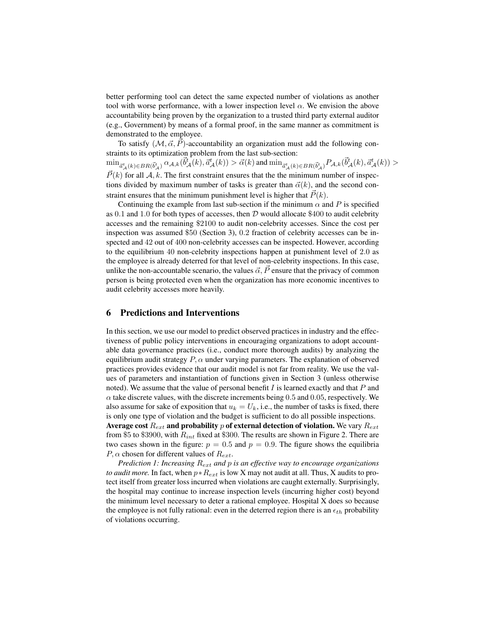better performing tool can detect the same expected number of violations as another tool with worse performance, with a lower inspection level  $\alpha$ . We envision the above accountability being proven by the organization to a trusted third party external auditor (e.g., Government) by means of a formal proof, in the same manner as commitment is demonstrated to the employee.

To satisfy  $(M, \vec{\alpha}, \vec{P})$ -accountability an organization must add the following constraints to its optimization problem from the last sub-section:  $\min_{\vec{a}^t_{\mathcal{A}}(k) \in BR(\vec{b}^t_{\mathcal{A}})} \alpha_{\mathcal{A},k}(\vec{b}^t_{\mathcal{A}}(k),\vec{a}^t_{\mathcal{A}}(k)) > \vec{\alpha}(k)$  and  $\min_{\vec{a}^t_{\mathcal{A}}(k) \in BR(\vec{b}^t_{\mathcal{A}})} P_{\mathcal{A},k}(\vec{b}^t_{\mathcal{A}}(k),\vec{a}^t_{\mathcal{A}}(k)) >$  $\vec{P}(k)$  for all A, k. The first constraint ensures that the the minimum number of inspections divided by maximum number of tasks is greater than  $\vec{\alpha}(k)$ , and the second constraint ensures that the minimum punishment level is higher that  $\vec{P}(k)$ .

Continuing the example from last sub-section if the minimum  $\alpha$  and P is specified as 0.1 and 1.0 for both types of accesses, then  $D$  would allocate \$400 to audit celebrity accesses and the remaining \$2100 to audit non-celebrity accesses. Since the cost per inspection was assumed \$50 (Section 3), 0.2 fraction of celebrity accesses can be inspected and 42 out of 400 non-celebrity accesses can be inspected. However, according to the equilibrium 40 non-celebrity inspections happen at punishment level of 2.0 as the employee is already deterred for that level of non-celebrity inspections. In this case, unlike the non-accountable scenario, the values  $\vec{\alpha}$ ,  $\vec{P}$  ensure that the privacy of common person is being protected even when the organization has more economic incentives to audit celebrity accesses more heavily.

#### 6 Predictions and Interventions

In this section, we use our model to predict observed practices in industry and the effectiveness of public policy interventions in encouraging organizations to adopt accountable data governance practices (i.e., conduct more thorough audits) by analyzing the equilibrium audit strategy  $P$ ,  $\alpha$  under varying parameters. The explanation of observed practices provides evidence that our audit model is not far from reality. We use the values of parameters and instantiation of functions given in Section 3 (unless otherwise noted). We assume that the value of personal benefit  $I$  is learned exactly and that  $P$  and  $\alpha$  take discrete values, with the discrete increments being 0.5 and 0.05, respectively. We also assume for sake of exposition that  $u_k = U_k$ , i.e., the number of tasks is fixed, there is only one type of violation and the budget is sufficient to do all possible inspections. Average cost  $R_{ext}$  and probability p of external detection of violation. We vary  $R_{ext}$ from \$5 to \$3900, with  $R_{int}$  fixed at \$300. The results are shown in Figure 2. There are two cases shown in the figure:  $p = 0.5$  and  $p = 0.9$ . The figure shows the equilibria  $P, \alpha$  chosen for different values of  $R_{ext}$ .

*Prediction 1: Increasing*  $R_{ext}$  *and*  $p$  *is an effective way to encourage organizations to audit more.* In fact, when  $p * R_{ext}$  is low X may not audit at all. Thus, X audits to protect itself from greater loss incurred when violations are caught externally. Surprisingly, the hospital may continue to increase inspection levels (incurring higher cost) beyond the minimum level necessary to deter a rational employee. Hospital X does so because the employee is not fully rational: even in the deterred region there is an  $\epsilon_{th}$  probability of violations occurring.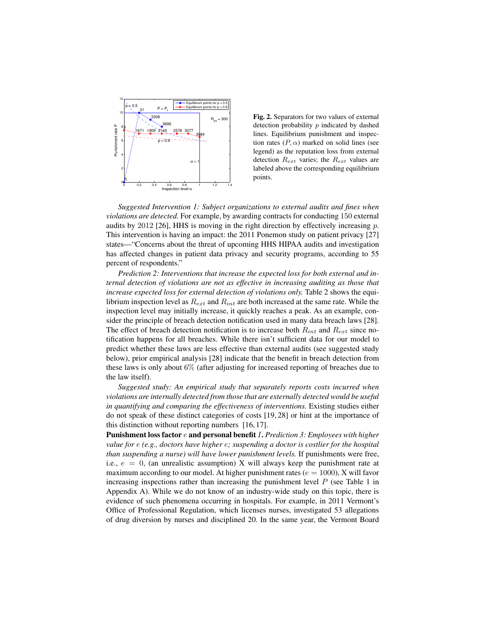

Fig. 2. Separators for two values of external detection probability  $p$  indicated by dashed lines. Equilibrium punishment and inspection rates  $(P, \alpha)$  marked on solid lines (see legend) as the reputation loss from external detection  $R_{ext}$  varies; the  $R_{ext}$  values are labeled above the corresponding equilibrium points.

*Suggested Intervention 1: Subject organizations to external audits and fines when violations are detected.* For example, by awarding contracts for conducting 150 external audits by 2012 [26], HHS is moving in the right direction by effectively increasing p. This intervention is having an impact: the 2011 Ponemon study on patient privacy [27] states—"Concerns about the threat of upcoming HHS HIPAA audits and investigation has affected changes in patient data privacy and security programs, according to 55 percent of respondents."

*Prediction 2: Interventions that increase the expected loss for both external and internal detection of violations are not as effective in increasing auditing as those that increase expected loss for external detection of violations only.* Table 2 shows the equilibrium inspection level as  $R_{ext}$  and  $R_{int}$  are both increased at the same rate. While the inspection level may initially increase, it quickly reaches a peak. As an example, consider the principle of breach detection notification used in many data breach laws [28]. The effect of breach detection notification is to increase both  $R_{int}$  and  $R_{ext}$  since notification happens for all breaches. While there isn't sufficient data for our model to predict whether these laws are less effective than external audits (see suggested study below), prior empirical analysis [28] indicate that the benefit in breach detection from these laws is only about 6% (after adjusting for increased reporting of breaches due to the law itself).

*Suggested study: An empirical study that separately reports costs incurred when violations are internally detected from those that are externally detected would be useful in quantifying and comparing the effectiveness of interventions.* Existing studies either do not speak of these distinct categories of costs [19, 28] or hint at the importance of this distinction without reporting numbers [16, 17].

Punishment loss factor e and personal benefit I. *Prediction 3: Employees with higher value for* e *(e.g., doctors have higher* e*; suspending a doctor is costlier for the hospital than suspending a nurse) will have lower punishment levels.* If punishments were free, i.e.,  $e = 0$ , (an unrealistic assumption) X will always keep the punishment rate at maximum according to our model. At higher punishment rates ( $e = 1000$ ), X will favor increasing inspections rather than increasing the punishment level  $P$  (see Table 1 in Appendix A). While we do not know of an industry-wide study on this topic, there is evidence of such phenomena occurring in hospitals. For example, in 2011 Vermont's Office of Professional Regulation, which licenses nurses, investigated 53 allegations of drug diversion by nurses and disciplined 20. In the same year, the Vermont Board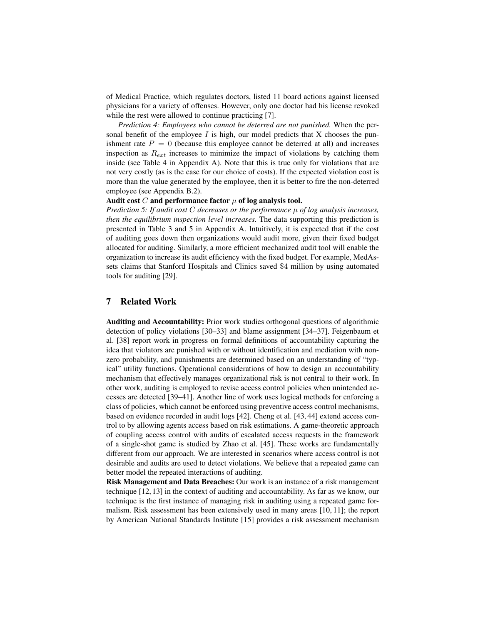of Medical Practice, which regulates doctors, listed 11 board actions against licensed physicians for a variety of offenses. However, only one doctor had his license revoked while the rest were allowed to continue practicing [7].

*Prediction 4: Employees who cannot be deterred are not punished.* When the personal benefit of the employee  $I$  is high, our model predicts that  $X$  chooses the punishment rate  $P = 0$  (because this employee cannot be deterred at all) and increases inspection as  $R_{ext}$  increases to minimize the impact of violations by catching them inside (see Table 4 in Appendix A). Note that this is true only for violations that are not very costly (as is the case for our choice of costs). If the expected violation cost is more than the value generated by the employee, then it is better to fire the non-deterred employee (see Appendix B.2).

#### Audit cost  $C$  and performance factor  $\mu$  of log analysis tool.

*Prediction 5: If audit cost* C *decreases or the performance* µ *of log analysis increases, then the equilibrium inspection level increases.* The data supporting this prediction is presented in Table 3 and 5 in Appendix A. Intuitively, it is expected that if the cost of auditing goes down then organizations would audit more, given their fixed budget allocated for auditing. Similarly, a more efficient mechanized audit tool will enable the organization to increase its audit efficiency with the fixed budget. For example, MedAssets claims that Stanford Hospitals and Clinics saved \$4 million by using automated tools for auditing [29].

#### 7 Related Work

Auditing and Accountability: Prior work studies orthogonal questions of algorithmic detection of policy violations [30–33] and blame assignment [34–37]. Feigenbaum et al. [38] report work in progress on formal definitions of accountability capturing the idea that violators are punished with or without identification and mediation with nonzero probability, and punishments are determined based on an understanding of "typical" utility functions. Operational considerations of how to design an accountability mechanism that effectively manages organizational risk is not central to their work. In other work, auditing is employed to revise access control policies when unintended accesses are detected [39–41]. Another line of work uses logical methods for enforcing a class of policies, which cannot be enforced using preventive access control mechanisms, based on evidence recorded in audit logs [42]. Cheng et al. [43, 44] extend access control to by allowing agents access based on risk estimations. A game-theoretic approach of coupling access control with audits of escalated access requests in the framework of a single-shot game is studied by Zhao et al. [45]. These works are fundamentally different from our approach. We are interested in scenarios where access control is not desirable and audits are used to detect violations. We believe that a repeated game can better model the repeated interactions of auditing.

Risk Management and Data Breaches: Our work is an instance of a risk management technique [12, 13] in the context of auditing and accountability. As far as we know, our technique is the first instance of managing risk in auditing using a repeated game formalism. Risk assessment has been extensively used in many areas [10, 11]; the report by American National Standards Institute [15] provides a risk assessment mechanism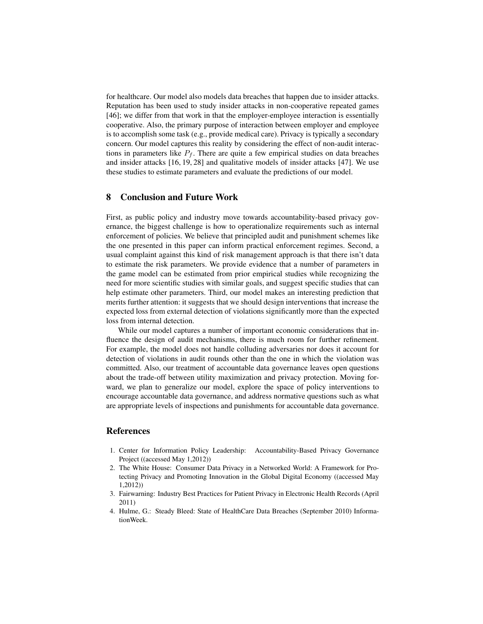for healthcare. Our model also models data breaches that happen due to insider attacks. Reputation has been used to study insider attacks in non-cooperative repeated games [46]; we differ from that work in that the employer-employee interaction is essentially cooperative. Also, the primary purpose of interaction between employer and employee is to accomplish some task (e.g., provide medical care). Privacy is typically a secondary concern. Our model captures this reality by considering the effect of non-audit interactions in parameters like  $P_f$ . There are quite a few empirical studies on data breaches and insider attacks [16, 19, 28] and qualitative models of insider attacks [47]. We use these studies to estimate parameters and evaluate the predictions of our model.

#### 8 Conclusion and Future Work

First, as public policy and industry move towards accountability-based privacy governance, the biggest challenge is how to operationalize requirements such as internal enforcement of policies. We believe that principled audit and punishment schemes like the one presented in this paper can inform practical enforcement regimes. Second, a usual complaint against this kind of risk management approach is that there isn't data to estimate the risk parameters. We provide evidence that a number of parameters in the game model can be estimated from prior empirical studies while recognizing the need for more scientific studies with similar goals, and suggest specific studies that can help estimate other parameters. Third, our model makes an interesting prediction that merits further attention: it suggests that we should design interventions that increase the expected loss from external detection of violations significantly more than the expected loss from internal detection.

While our model captures a number of important economic considerations that influence the design of audit mechanisms, there is much room for further refinement. For example, the model does not handle colluding adversaries nor does it account for detection of violations in audit rounds other than the one in which the violation was committed. Also, our treatment of accountable data governance leaves open questions about the trade-off between utility maximization and privacy protection. Moving forward, we plan to generalize our model, explore the space of policy interventions to encourage accountable data governance, and address normative questions such as what are appropriate levels of inspections and punishments for accountable data governance.

#### References

- 1. Center for Information Policy Leadership: Accountability-Based Privacy Governance Project ((accessed May 1,2012))
- 2. The White House: Consumer Data Privacy in a Networked World: A Framework for Protecting Privacy and Promoting Innovation in the Global Digital Economy ((accessed May 1,2012))
- 3. Fairwarning: Industry Best Practices for Patient Privacy in Electronic Health Records (April 2011)
- 4. Hulme, G.: Steady Bleed: State of HealthCare Data Breaches (September 2010) InformationWeek.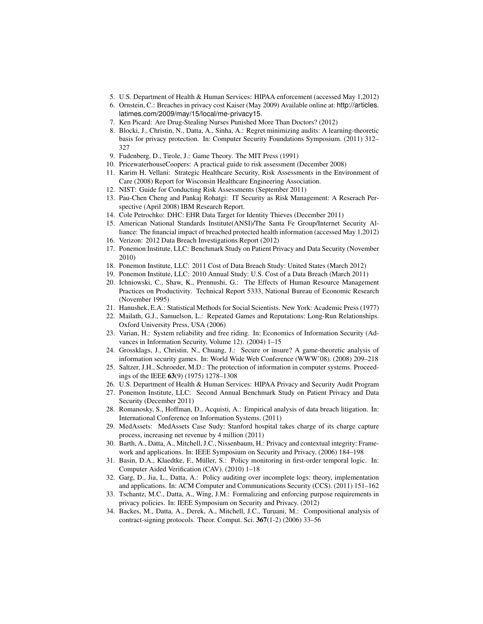- 5. U.S. Department of Health & Human Services: HIPAA enforcement (accessed May 1,2012)
- 6. Ornstein, C.: Breaches in privacy cost Kaiser (May 2009) Available online at: http://articles. latimes.com/2009/may/15/local/me-privacy15.
- 7. Ken Picard: Are Drug-Stealing Nurses Punished More Than Doctors? (2012)
- 8. Blocki, J., Christin, N., Datta, A., Sinha, A.: Regret minimizing audits: A learning-theoretic basis for privacy protection. In: Computer Security Foundations Symposium. (2011) 312– 327
- 9. Fudenberg, D., Tirole, J.: Game Theory. The MIT Press (1991)
- 10. PricewaterhouseCoopers: A practical guide to risk assessment (December 2008)
- 11. Karim H. Vellani: Strategic Healthcare Security, Risk Assessments in the Environment of Care (2008) Report for Wisconsin Healthcare Engineering Association.
- 12. NIST: Guide for Conducting Risk Assessments (September 2011)
- 13. Pau-Chen Cheng and Pankaj Rohatgi: IT Security as Risk Management: A Reserach Perspective (April 2008) IBM Research Report.
- 14. Cole Petrochko: DHC: EHR Data Target for Identity Thieves (December 2011)
- 15. American National Standards Institute(ANSI)/The Santa Fe Group/Internet Security Alliance: The financial impact of breached protected health information (accessed May 1,2012)
- 16. Verizon: 2012 Data Breach Investigations Report (2012)
- 17. Ponemon Institute, LLC: Benchmark Study on Patient Privacy and Data Security (November 2010)
- 18. Ponemon Institute, LLC: 2011 Cost of Data Breach Study: United States (March 2012)
- 19. Ponemon Institute, LLC: 2010 Annual Study: U.S. Cost of a Data Breach (March 2011)
- 20. Ichniowski, C., Shaw, K., Prennushi, G.: The Effects of Human Resource Management Practices on Productivity. Technical Report 5333, National Bureau of Economic Research (November 1995)
- 21. Hanushek, E.A.: Statistical Methods for Social Scientists. New York: Academic Press (1977)
- 22. Mailath, G.J., Samuelson, L.: Repeated Games and Reputations: Long-Run Relationships. Oxford University Press, USA (2006)
- 23. Varian, H.: System reliability and free riding. In: Economics of Information Security (Advances in Information Security, Volume 12). (2004) 1–15
- 24. Grossklags, J., Christin, N., Chuang, J.: Secure or insure? A game-theoretic analysis of information security games. In: World Wide Web Conference (WWW'08). (2008) 209–218
- 25. Saltzer, J.H., Schroeder, M.D.: The protection of information in computer systems. Proceedings of the IEEE 63(9) (1975) 1278–1308
- 26. U.S. Department of Health & Human Services: HIPAA Privacy and Security Audit Program
- 27. Ponemon Institute, LLC: Second Annual Benchmark Study on Patient Privacy and Data Security (December 2011)
- 28. Romanosky, S., Hoffman, D., Acquisti, A.: Empirical analysis of data breach litigation. In: International Conference on Information Systems. (2011)
- 29. MedAssets: MedAssets Case Sudy: Stanford hospital takes charge of its charge capture process, increasing net revenue by 4 million (2011)
- 30. Barth, A., Datta, A., Mitchell, J.C., Nissenbaum, H.: Privacy and contextual integrity: Framework and applications. In: IEEE Symposium on Security and Privacy. (2006) 184–198
- 31. Basin, D.A., Klaedtke, F., Muller, S.: Policy monitoring in first-order temporal logic. In: ¨ Computer Aided Verification (CAV). (2010) 1–18
- 32. Garg, D., Jia, L., Datta, A.: Policy auditing over incomplete logs: theory, implementation and applications. In: ACM Computer and Communications Security (CCS). (2011) 151–162
- 33. Tschantz, M.C., Datta, A., Wing, J.M.: Formalizing and enforcing purpose requirements in privacy policies. In: IEEE Symposium on Security and Privacy. (2012)
- 34. Backes, M., Datta, A., Derek, A., Mitchell, J.C., Turuani, M.: Compositional analysis of contract-signing protocols. Theor. Comput. Sci. 367(1-2) (2006) 33–56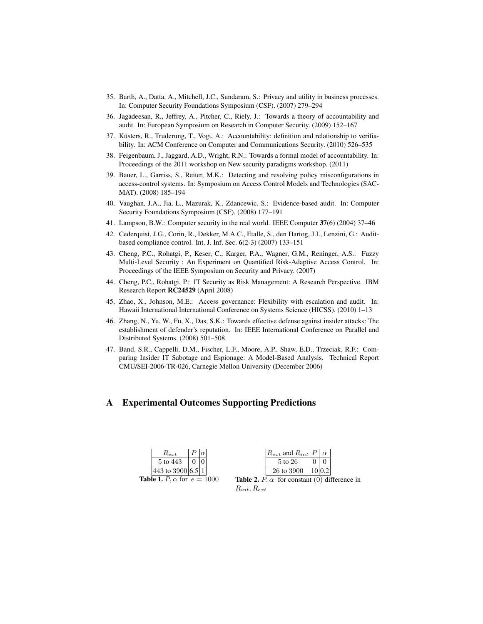- 35. Barth, A., Datta, A., Mitchell, J.C., Sundaram, S.: Privacy and utility in business processes. In: Computer Security Foundations Symposium (CSF). (2007) 279–294
- 36. Jagadeesan, R., Jeffrey, A., Pitcher, C., Riely, J.: Towards a theory of accountability and audit. In: European Symposium on Research in Computer Security. (2009) 152–167
- 37. Kusters, R., Truderung, T., Vogt, A.: Accountability: definition and relationship to verifia- ¨ bility. In: ACM Conference on Computer and Communications Security. (2010) 526–535
- 38. Feigenbaum, J., Jaggard, A.D., Wright, R.N.: Towards a formal model of accountability. In: Proceedings of the 2011 workshop on New security paradigms workshop. (2011)
- 39. Bauer, L., Garriss, S., Reiter, M.K.: Detecting and resolving policy misconfigurations in access-control systems. In: Symposium on Access Control Models and Technologies (SAC-MAT). (2008) 185–194
- 40. Vaughan, J.A., Jia, L., Mazurak, K., Zdancewic, S.: Evidence-based audit. In: Computer Security Foundations Symposium (CSF). (2008) 177–191
- 41. Lampson, B.W.: Computer security in the real world. IEEE Computer 37(6) (2004) 37–46
- 42. Cederquist, J.G., Corin, R., Dekker, M.A.C., Etalle, S., den Hartog, J.I., Lenzini, G.: Auditbased compliance control. Int. J. Inf. Sec. 6(2-3) (2007) 133–151
- 43. Cheng, P.C., Rohatgi, P., Keser, C., Karger, P.A., Wagner, G.M., Reninger, A.S.: Fuzzy Multi-Level Security : An Experiment on Quantified Risk-Adaptive Access Control. In: Proceedings of the IEEE Symposium on Security and Privacy. (2007)
- 44. Cheng, P.C., Rohatgi, P.: IT Security as Risk Management: A Research Perspective. IBM Research Report RC24529 (April 2008)
- 45. Zhao, X., Johnson, M.E.: Access governance: Flexibility with escalation and audit. In: Hawaii International International Conference on Systems Science (HICSS). (2010) 1–13
- 46. Zhang, N., Yu, W., Fu, X., Das, S.K.: Towards effective defense against insider attacks: The establishment of defender's reputation. In: IEEE International Conference on Parallel and Distributed Systems. (2008) 501–508
- 47. Band, S.R., Cappelli, D.M., Fischer, L.F., Moore, A.P., Shaw, E.D., Trzeciak, R.F.: Comparing Insider IT Sabotage and Espionage: A Model-Based Analysis. Technical Report CMU/SEI-2006-TR-026, Carnegie Mellon University (December 2006)

# A Experimental Outcomes Supporting Predictions

|                                                    | $R_{ext}$                     | D | $\alpha$ |  |  |  |  |
|----------------------------------------------------|-------------------------------|---|----------|--|--|--|--|
|                                                    | 5 to 443                      | 0 |          |  |  |  |  |
|                                                    | $ 443 \text{ to } 3900 6.5 1$ |   |          |  |  |  |  |
| <b>Table 1.</b> <i>P</i> , $\alpha$ for $e = 1000$ |                               |   |          |  |  |  |  |

| $ R_{ext}$ and $R_{int} P  \alpha$                         |  |  |
|------------------------------------------------------------|--|--|
| 5 to 26                                                    |  |  |
| 26 to 3900 $ 10 0.2 $                                      |  |  |
| <b>Table 2.</b> P, $\alpha$ for constant (0) difference in |  |  |

 $R_{int}, R_{ext}$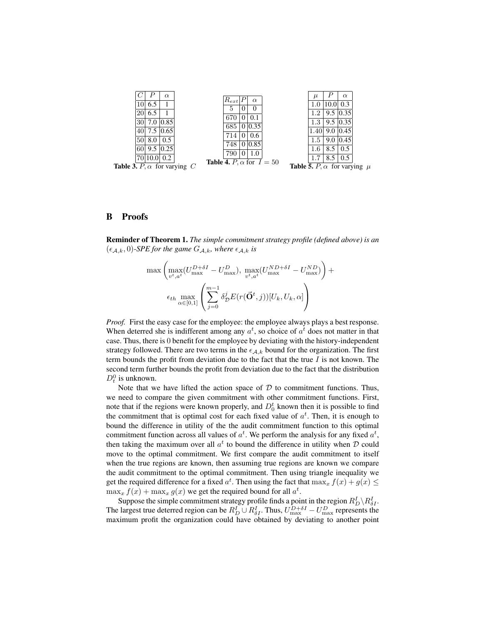

# **Table 3.**  $P, \alpha$  for varying C

**Table 5.**  $P, \alpha$  for varying  $\mu$ 

# B Proofs

Reminder of Theorem 1. *The simple commitment strategy profile (defined above) is an*  $(\epsilon_{A,k}, 0)$ -*SPE for the game*  $G_{A,k}$ *, where*  $\epsilon_{A,k}$  *is* 

$$
\max \left( \max_{v^t, a^t} (U_{\max}^{D+\delta I} - U_{\max}^D), \max_{v^t, a^t} (U_{\max}^{ND+\delta I} - U_{\max}^{ND}) \right) +
$$

$$
\epsilon_{th} \max_{\alpha \in [0,1]} \left( \sum_{j=0}^{m-1} \delta^j_{\mathcal{D}} E(r(\vec{\mathbf{O}}^t, j))[U_k, U_k, \alpha] \right)
$$

*Proof.* First the easy case for the employee: the employee always plays a best response. When deterred she is indifferent among any  $a^t$ , so choice of  $a^t$  does not matter in that case. Thus, there is 0 benefit for the employee by deviating with the history-independent strategy followed. There are two terms in the  $\epsilon_{A,k}$  bound for the organization. The first term bounds the profit from deviation due to the fact that the true  $I$  is not known. The second term further bounds the profit from deviation due to the fact that the distribution  $D_t^0$  is unknown.

Note that we have lifted the action space of  $D$  to commitment functions. Thus, we need to compare the given commitment with other commitment functions. First, note that if the regions were known properly, and  $D_0^t$  known then it is possible to find the commitment that is optimal cost for each fixed value of  $a<sup>t</sup>$ . Then, it is enough to bound the difference in utility of the the audit commitment function to this optimal commitment function across all values of  $a^t$ . We perform the analysis for any fixed  $a^t$ , then taking the maximum over all  $a<sup>t</sup>$  to bound the difference in utility when  $D$  could move to the optimal commitment. We first compare the audit commitment to itself when the true regions are known, then assuming true regions are known we compare the audit commitment to the optimal commitment. Then using triangle inequality we get the required difference for a fixed  $a^t$ . Then using the fact that  $\max_x f(x) + g(x) \leq$  $\max_x f(x) + \max_x g(x)$  we get the required bound for all  $a^t$ .

Suppose the simple commitment strategy profile finds a point in the region  $R_D^I \setminus R_{\delta I}^I$ . The largest true deterred region can be  $R_D^I \cup R_{\delta I}^I$ . Thus,  $U_{\rm max}^{D+\delta I} - U_{\rm max}^D$  represents the maximum profit the organization could have obtained by deviating to another point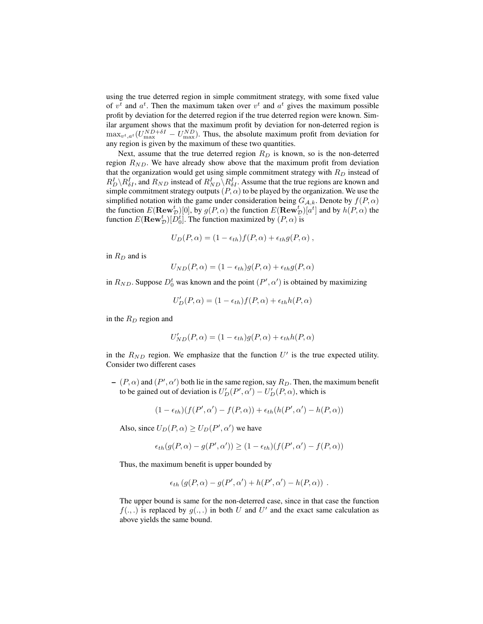using the true deterred region in simple commitment strategy, with some fixed value of  $v^t$  and  $a^t$ . Then the maximum taken over  $v^t$  and  $a^t$  gives the maximum possible profit by deviation for the deterred region if the true deterred region were known. Similar argument shows that the maximum profit by deviation for non-deterred region is  $\max_{v^t, a^t} (U_{\text{max}}^{ND+\delta I} - U_{\text{max}}^{ND})$ . Thus, the absolute maximum profit from deviation for any region is given by the maximum of these two quantities.

Next, assume that the true deterred region  $R_D$  is known, so is the non-deterred region  $R_{ND}$ . We have already show above that the maximum profit from deviation that the organization would get using simple commitment strategy with  $R_D$  instead of  $R_D^I \setminus R_{\delta I}^I$ , and  $R_{ND}$  instead of  $R_{ND}^I \setminus R_{\delta I}^I$ . Assume that the true regions are known and simple commitment strategy outputs  $(P, \alpha)$  to be played by the organization. We use the simplified notation with the game under consideration being  $G_{A,k}$ . Denote by  $f(P,\alpha)$ the function  $E(\text{Row}_\mathcal{D}^t)[0]$ , by  $g(P, \alpha)$  the function  $E(\text{Row}_\mathcal{D}^t)[a^t]$  and by  $h(P, \alpha)$  the function  $E(\text{Row}^t_{\mathcal{D}})[D_0^t]$ . The function maximized by  $(P, \alpha)$  is

$$
U_D(P,\alpha) = (1 - \epsilon_{th})f(P,\alpha) + \epsilon_{th}g(P,\alpha) ,
$$

in  $R_D$  and is

$$
U_{ND}(P,\alpha) = (1 - \epsilon_{th})g(P,\alpha) + \epsilon_{th}g(P,\alpha)
$$

in  $R_{ND}$ . Suppose  $D_0^t$  was known and the point  $(P', \alpha')$  is obtained by maximizing

$$
U'_{D}(P,\alpha) = (1 - \epsilon_{th})f(P,\alpha) + \epsilon_{th}h(P,\alpha)
$$

in the  $R_D$  region and

$$
U'_{ND}(P,\alpha) = (1 - \epsilon_{th})g(P,\alpha) + \epsilon_{th}h(P,\alpha)
$$

in the  $R_{ND}$  region. We emphasize that the function  $U'$  is the true expected utility. Consider two different cases

 $(P, \alpha)$  and  $(P', \alpha')$  both lie in the same region, say  $R_D$ . Then, the maximum benefit to be gained out of deviation is  $U_D'(P', \alpha') - U_D'(P, \alpha)$ , which is

$$
(1 - \epsilon_{th})(f(P', \alpha') - f(P, \alpha)) + \epsilon_{th}(h(P', \alpha') - h(P, \alpha))
$$

Also, since  $U_D(P, \alpha) \ge U_D(P', \alpha')$  we have

$$
\epsilon_{th}(g(P,\alpha)-g(P',\alpha')) \ge (1-\epsilon_{th})(f(P',\alpha')-f(P,\alpha))
$$

Thus, the maximum benefit is upper bounded by

$$
\epsilon_{th}(g(P,\alpha)-g(P',\alpha')+h(P',\alpha')-h(P,\alpha)) .
$$

The upper bound is same for the non-deterred case, since in that case the function  $f(.,.)$  is replaced by  $g(.,.)$  in both U and U' and the exact same calculation as above yields the same bound.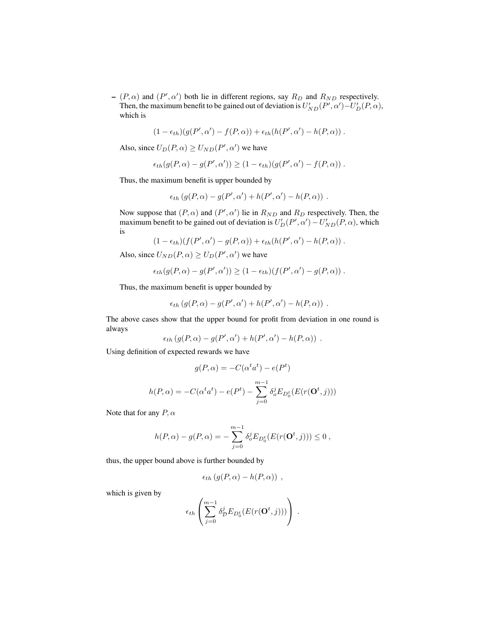$(P, \alpha)$  and  $(P', \alpha')$  both lie in different regions, say  $R_D$  and  $R_{ND}$  respectively. Then, the maximum benefit to be gained out of deviation is  $U'_{ND}(P', \alpha') - U'_{D}(P, \alpha)$ , which is

$$
(1-\epsilon_{th})(g(P',\alpha') - f(P,\alpha)) + \epsilon_{th}(h(P',\alpha') - h(P,\alpha)).
$$

Also, since  $U_D(P, \alpha) \ge U_{ND}(P', \alpha')$  we have

$$
\epsilon_{th}(g(P,\alpha)-g(P',\alpha')) \geq (1-\epsilon_{th})(g(P',\alpha')-f(P,\alpha)) .
$$

Thus, the maximum benefit is upper bounded by

$$
\epsilon_{th}(g(P,\alpha)-g(P',\alpha')+h(P',\alpha')-h(P,\alpha)) .
$$

Now suppose that  $(P, \alpha)$  and  $(P', \alpha')$  lie in  $R_{ND}$  and  $R_D$  respectively. Then, the maximum benefit to be gained out of deviation is  $U_D'(P', \alpha') - U_{ND}'(P, \alpha)$ , which is

$$
(1 - \epsilon_{th})(f(P', \alpha') - g(P, \alpha)) + \epsilon_{th}(h(P', \alpha') - h(P, \alpha)).
$$

Also, since  $U_{ND}(P, \alpha) \ge U_D(P', \alpha')$  we have

$$
\epsilon_{th}(g(P,\alpha)-g(P',\alpha')) \geq (1-\epsilon_{th})(f(P',\alpha')-g(P,\alpha)) .
$$

Thus, the maximum benefit is upper bounded by

$$
\epsilon_{th} (g(P,\alpha) - g(P',\alpha') + h(P',\alpha') - h(P,\alpha)) .
$$

The above cases show that the upper bound for profit from deviation in one round is always

$$
\epsilon_{th}(g(P,\alpha)-g(P',\alpha')+h(P',\alpha')-h(P,\alpha)) .
$$

Using definition of expected rewards we have

$$
g(P, \alpha) = -C(\alpha^t a^t) - e(P^t)
$$

$$
h(P, \alpha) = -C(\alpha^t a^t) - e(P^t) - \sum_{j=0}^{m-1} \delta^j_{\alpha} E_{D_0^t}(E(r(\mathbf{O}^t, j)))
$$

Note that for any  $P, \alpha$ 

$$
h(P,\alpha) - g(P,\alpha) = -\sum_{j=0}^{m-1} \delta^j_{\alpha} E_{D_0^t}(E(r(\mathbf{O}^t,j))) \leq 0,
$$

thus, the upper bound above is further bounded by

$$
\epsilon_{th} (g(P,\alpha) - h(P,\alpha)) ,
$$

which is given by

$$
\epsilon_{th}\left(\sum_{j=0}^{m-1}\delta_{\mathcal{D}}^jE_{D_0^t}(E(r(\mathbf{O}^t,j)))\right).
$$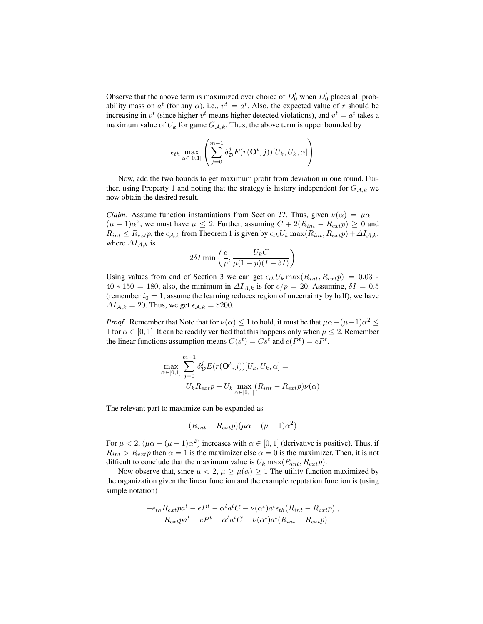Observe that the above term is maximized over choice of  $D_0^t$  when  $D_0^t$  places all probability mass on  $a^t$  (for any  $\alpha$ ), i.e.,  $v^t = a^t$ . Also, the expected value of r should be increasing in  $v^t$  (since higher  $v^t$  means higher detected violations), and  $v^t = a^t$  takes a maximum value of  $U_k$  for game  $G_{A,k}$ . Thus, the above term is upper bounded by

$$
\epsilon_{th} \max_{\alpha \in [0,1]} \left( \sum_{j=0}^{m-1} \delta_{\mathcal{D}}^{j} E(r(\mathbf{O}^t, j))[U_k, U_k, \alpha] \right)
$$

Now, add the two bounds to get maximum profit from deviation in one round. Further, using Property 1 and noting that the strategy is history independent for  $G_{A,k}$  we now obtain the desired result.

*Claim.* Assume function instantiations from Section ??. Thus, given  $\nu(\alpha) = \mu \alpha$  –  $(\mu - 1)\alpha^2$ , we must have  $\mu \leq 2$ . Further, assuming  $C + 2(R_{int} - R_{ext}p) \geq 0$  and  $R_{int} \leq R_{ext}p$ , the  $\epsilon_{A,k}$  from Theorem 1 is given by  $\epsilon_{th}U_k \max(R_{int}, R_{ext}p) + \Delta I_{A,k}$ , where  $\Delta I_{A,k}$  is

$$
2\delta I \min\left(\frac{e}{p}, \frac{U_k C}{\mu(1-p)(I-\delta I)}\right)
$$

Using values from end of Section 3 we can get  $\epsilon_{th}U_k \max(R_{int}, R_{ext}p) = 0.03$  \*  $40 * 150 = 180$ , also, the minimum in  $\Delta I_{A,k}$  is for  $e/p = 20$ . Assuming,  $\delta I = 0.5$ (remember  $i_0 = 1$ , assume the learning reduces region of uncertainty by half), we have  $\Delta I_{\mathcal{A},k} = 20$ . Thus, we get  $\epsilon_{\mathcal{A},k} = \$200$ .

*Proof.* Remember that Note that for  $\nu(\alpha) \leq 1$  to hold, it must be that  $\mu\alpha - (\mu - 1)\alpha^2 \leq$ 1 for  $\alpha \in [0, 1]$ . It can be readily verified that this happens only when  $\mu \leq 2$ . Remember the linear functions assumption means  $C(s^t) = Cs^t$  and  $e(P^t) = eP^t$ .

$$
\max_{\alpha \in [0,1]} \sum_{j=0}^{m-1} \delta_{\mathcal{D}}^j E(r(\mathbf{O}^t, j))[U_k, U_k, \alpha] =
$$
  

$$
U_k R_{ext} p + U_k \max_{\alpha \in [0,1]} (R_{int} - R_{ext} p) \nu(\alpha)
$$

The relevant part to maximize can be expanded as

$$
(R_{int} - R_{ext}p)(\mu\alpha - (\mu - 1)\alpha^2)
$$

For  $\mu < 2$ ,  $(\mu \alpha - (\mu - 1)\alpha^2)$  increases with  $\alpha \in [0, 1]$  (derivative is positive). Thus, if  $R_{int} > R_{ext}p$  then  $\alpha = 1$  is the maximizer else  $\alpha = 0$  is the maximizer. Then, it is not difficult to conclude that the maximum value is  $U_k \max(R_{int}, R_{ext}p)$ .

Now observe that, since  $\mu < 2$ ,  $\mu \ge \mu(\alpha) \ge 1$  The utility function maximized by the organization given the linear function and the example reputation function is (using simple notation)

$$
-\epsilon_{th}R_{ext}pa^{t} - eP^{t} - \alpha^{t}a^{t}C - \nu(\alpha^{t})a^{t}\epsilon_{th}(R_{int} - R_{ext}p),
$$
  

$$
-R_{ext}pa^{t} - eP^{t} - \alpha^{t}a^{t}C - \nu(\alpha^{t})a^{t}(R_{int} - R_{ext}p)
$$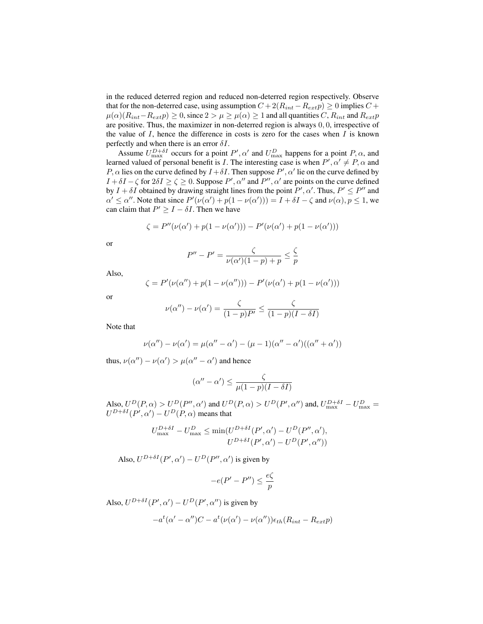in the reduced deterred region and reduced non-deterred region respectively. Observe that for the non-deterred case, using assumption  $C + 2(R_{int} - R_{ext}p) \ge 0$  implies  $C +$  $\mu(\alpha)(R_{int}-R_{ext}p) \ge 0$ , since  $2 > \mu \ge \mu(\alpha) \ge 1$  and all quantities  $C, R_{int}$  and  $R_{ext}p$ are positive. Thus, the maximizer in non-deterred region is always 0, 0, irrespective of the value of  $I$ , hence the difference in costs is zero for the cases when  $I$  is known perfectly and when there is an error  $\delta I$ .

Assume  $U_{\text{max}}^{D+\delta I}$  occurs for a point  $P', \alpha'$  and  $U_{\text{max}}^D$  happens for a point  $P, \alpha$ , and learned valued of personal benefit is I. The interesting case is when  $P', \alpha' \neq P, \alpha$  and P,  $\alpha$  lies on the curve defined by  $I + \delta I$ . Then suppose  $P', \alpha'$  lie on the curve defined by  $I + \delta I - \zeta$  for  $2\delta I \ge \zeta \ge 0$ . Suppose  $P', \alpha''$  and  $P'', \alpha'$  are points on the curve defined by  $I + \delta I$  obtained by drawing straight lines from the point  $P', \alpha'$ . Thus,  $P' \le P''$  and  $\alpha' \leq \alpha''$ . Note that since  $P'(\nu(\alpha') + p(1 - \nu(\alpha'))) = I + \delta I - \zeta$  and  $\nu(\alpha), p \leq 1$ , we can claim that  $P' \geq I - \delta I$ . Then we have

$$
\zeta = P''(\nu(\alpha') + p(1 - \nu(\alpha'))) - P'(\nu(\alpha') + p(1 - \nu(\alpha')))
$$

or

$$
P'' - P' = \frac{\zeta}{\nu(\alpha')(1 - p) + p} \le \frac{\zeta}{p}
$$

Also,

$$
\zeta = P'(\nu(\alpha'') + p(1 - \nu(\alpha''))) - P'(\nu(\alpha') + p(1 - \nu(\alpha')))
$$

or

$$
\nu(\alpha'') - \nu(\alpha') = \frac{\zeta}{(1-p)P'} \le \frac{\zeta}{(1-p)(I-\delta I)}
$$

Note that

$$
\nu(\alpha'') - \nu(\alpha') = \mu(\alpha'' - \alpha') - (\mu - 1)(\alpha'' - \alpha')((\alpha'' + \alpha'))
$$

thus,  $\nu(\alpha'') - \nu(\alpha') > \mu(\alpha'' - \alpha')$  and hence

$$
(\alpha'' - \alpha') \le \frac{\zeta}{\mu(1 - p)(I - \delta I)}
$$

Also,  $U^D(P, \alpha) > U^D(P'', \alpha')$  and  $U^D(P, \alpha) > U^D(P', \alpha'')$  and,  $U_{\max}^{D+\delta I} - U_{\max}^D =$  $U^{D+\delta I}(P',\alpha') - U^D(P,\alpha)$  means that

$$
U_{\text{max}}^{D+\delta I} - U_{\text{max}}^D \le \min(U^{D+\delta I}(P', \alpha') - U^D(P'', \alpha'),
$$
  

$$
U^{D+\delta I}(P', \alpha') - U^D(P', \alpha''))
$$

Also,  $U^{D+\delta I}(P', \alpha') - U^{D}(P'', \alpha')$  is given by

$$
-e(P'-P'') \le \frac{e\zeta}{p}
$$

Also,  $U^{D+\delta I}(P', \alpha') - U^{D}(P', \alpha'')$  is given by

$$
-a^{t}(\alpha'-\alpha'')C - a^{t}(\nu(\alpha') - \nu(\alpha''))\epsilon_{th}(R_{int} - R_{ext}p)
$$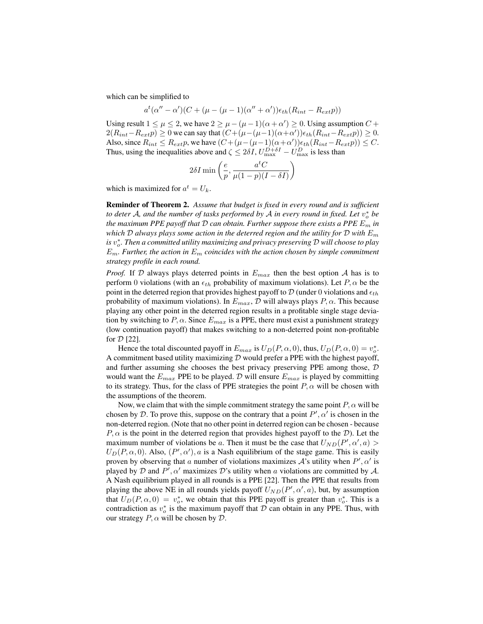which can be simplified to

$$
a^{t}(\alpha'' - \alpha')(C + (\mu - (\mu - 1)(\alpha'' + \alpha'))\epsilon_{th}(R_{int} - R_{ext}p))
$$

Using result  $1 \leq \mu \leq 2$ , we have  $2 \geq \mu - (\mu - 1)(\alpha + \alpha') \geq 0$ . Using assumption  $C +$  $2(R_{int}-R_{ext}p) \ge 0$  we can say that  $(C+(\mu-(\mu-1)(\alpha+\alpha'))\epsilon_{th}(R_{int}-R_{ext}p)) \ge 0$ . Also, since  $R_{int} \le R_{ext}p$ , we have  $(C + (\mu - (\mu - 1)(\alpha + \alpha'))\epsilon_{th}(R_{int} - R_{ext}p)) \le C$ . Thus, using the inequalities above and  $\zeta \le 2\delta I$ ,  $U_{\text{max}}^{D+\delta I} - U_{\text{max}}^D$  is less than

$$
2\delta I \min\left(\frac{e}{p},\frac{a^tC}{\mu(1-p)(I-\delta I)}\right)
$$

which is maximized for  $a^t = U_k$ .

Reminder of Theorem 2. *Assume that budget is fixed in every round and is sufficient to deter A, and the number of tasks performed by A in every round in fixed. Let*  $v_o^*$  *be the maximum PPE payoff that*  $D$  *can obtain. Further suppose there exists a PPE*  $E_m$  *in which*  $D$  *always plays some action in the deterred region and the utility for*  $D$  *with*  $E_m$ is  $v_o^*$ . Then a committed utility maximizing and privacy preserving D will choose to play  $E_m$ . Further, the action in  $E_m$  coincides with the action chosen by simple commitment *strategy profile in each round.*

*Proof.* If D always plays deterred points in  $E_{max}$  then the best option A has is to perform 0 violations (with an  $\epsilon_{th}$  probability of maximum violations). Let P,  $\alpha$  be the point in the deterred region that provides highest payoff to  $\mathcal D$  (under 0 violations and  $\epsilon_{th}$ probability of maximum violations). In  $E_{max}$ , D will always plays  $P$ ,  $\alpha$ . This because playing any other point in the deterred region results in a profitable single stage deviation by switching to  $P, \alpha$ . Since  $E_{max}$  is a PPE, there must exist a punishment strategy (low continuation payoff) that makes switching to a non-deterred point non-profitable for  $D$  [22].

Hence the total discounted payoff in  $E_{max}$  is  $U_D(P, \alpha, 0)$ , thus,  $U_D(P, \alpha, 0) = v_o^*$ . A commitment based utility maximizing  $D$  would prefer a PPE with the highest payoff, and further assuming she chooses the best privacy preserving PPE among those,  $D$ would want the  $E_{max}$  PPE to be played. D will ensure  $E_{max}$  is played by committing to its strategy. Thus, for the class of PPE strategies the point  $P, \alpha$  will be chosen with the assumptions of the theorem.

Now, we claim that with the simple commitment strategy the same point  $P, \alpha$  will be chosen by D. To prove this, suppose on the contrary that a point  $P', \alpha'$  is chosen in the non-deterred region. (Note that no other point in deterred region can be chosen - because  $P, \alpha$  is the point in the deterred region that provides highest payoff to the D). Let the maximum number of violations be a. Then it must be the case that  $U_{ND}(P', \alpha', a)$  $U_D(P, \alpha, 0)$ . Also,  $(P', \alpha')$ , a is a Nash equilibrium of the stage game. This is easily proven by observing that a number of violations maximizes  $A$ 's utility when  $P', \alpha'$  is played by D and  $P', \alpha'$  maximizes D's utility when a violations are committed by A. A Nash equilibrium played in all rounds is a PPE [22]. Then the PPE that results from playing the above NE in all rounds yields payoff  $U_{ND}(P', \alpha', a)$ , but, by assumption that  $U_D(P, \alpha, 0) = v_o^*$ , we obtain that this PPE payoff is greater than  $v_o^*$ . This is a contradiction as  $v_o^*$  is the maximum payoff that  $D$  can obtain in any PPE. Thus, with our strategy  $P$ ,  $\alpha$  will be chosen by  $\mathcal{D}$ .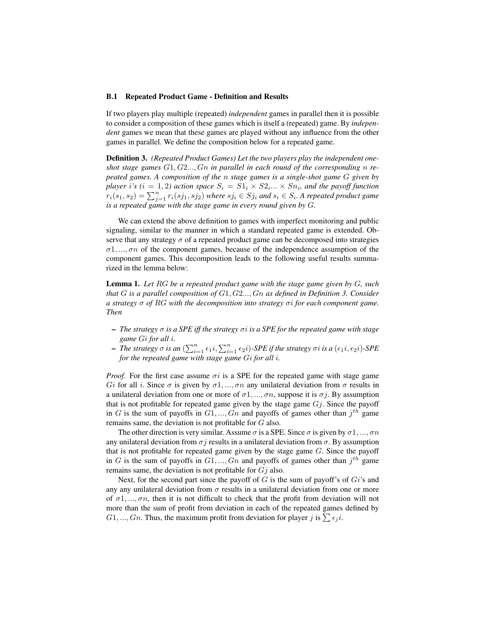#### B.1 Repeated Product Game - Definition and Results

If two players play multiple (repeated) *independent* games in parallel then it is possible to consider a composition of these games which is itself a (repeated) game. By *independent* games we mean that these games are played without any influence from the other games in parallel. We define the composition below for a repeated game.

Definition 3. *(Repeated Product Games) Let the two players play the independent oneshot stage games* G1, G2..., Gn *in parallel in each round of the corresponding* n *repeated games. A composition of the* n *stage games is a single-shot game* G *given by player i*'s (*i* = 1, 2) action space  $S_i = S1_i \times S2_i ... \times Sn_i$ , and the payoff function  $r_i(s_1, s_2) = \sum_{j=1}^n r_i(sj_1, sj_2)$  where  $sj_i \in Sj_i$  and  $s_i \in S_i$ . A repeated product game *is a repeated game with the stage game in every round given by* G*.*

We can extend the above definition to games with imperfect monitoring and public signaling, similar to the manner in which a standard repeated game is extended. Observe that any strategy  $\sigma$  of a repeated product game can be decomposed into strategies  $\sigma_1, \ldots, \sigma_n$  of the component games, because of the independence assumption of the component games. This decomposition leads to the following useful results summarized in the lemma below:

Lemma 1. *Let* RG *be a repeated product game with the stage game given by* G*, such that* G *is a parallel composition of* G1, G2..., Gn *as defined in Definition 3. Consider a strategy* σ *of* RG *with the decomposition into strategy* σi *for each component game. Then*

- *The strategy* σ *is a SPE iff the strategy* σi *is a SPE for the repeated game with stage game* Gi *for all* i*.*
- $-$  The strategy  $\sigma$  *is an*  $(\sum_{i=1}^n \epsilon_1 i, \sum_{i=1}^n \epsilon_2 i)$ *-SPE if the strategy*  $\sigma i$  *is a*  $(\epsilon_1 i, \epsilon_2 i)$ *-SPE for the repeated game with stage game* Gi *for all* i*.*

*Proof.* For the first case assume  $\sigma i$  is a SPE for the repeated game with stage game Gi for all i. Since  $\sigma$  is given by  $\sigma_1, \ldots, \sigma_n$  any unilateral deviation from  $\sigma$  results in a unilateral deviation from one or more of  $\sigma_1, \ldots, \sigma_n$ , suppose it is  $\sigma_j$ . By assumption that is not profitable for repeated game given by the stage game  $Gj$ . Since the payoff in G is the sum of payoffs in  $G_1, ..., G_n$  and payoffs of games other than  $j<sup>th</sup>$  game remains same, the deviation is not profitable for G also.

The other direction is very similar. Assume  $\sigma$  is a SPE. Since  $\sigma$  is given by  $\sigma$ 1, ...,  $\sigma$ n any unilateral deviation from  $\sigma j$  results in a unilateral deviation from  $\sigma$ . By assumption that is not profitable for repeated game given by the stage game  $G$ . Since the payoff in G is the sum of payoffs in  $G_1, ..., G_n$  and payoffs of games other than  $j<sup>th</sup>$  game remains same, the deviation is not profitable for  $G<sub>i</sub>$  also.

Next, for the second part since the payoff of  $G$  is the sum of payoff's of  $Gi$ 's and any any unilateral deviation from  $\sigma$  results in a unilateral deviation from one or more of  $\sigma_1, \ldots, \sigma_n$ , then it is not difficult to check that the profit from deviation will not more than the sum of profit from deviation in each of the repeated games defined by  $G_1, ..., G_n$ . Thus, the maximum profit from deviation for player j is  $\sum \epsilon_i i$ .